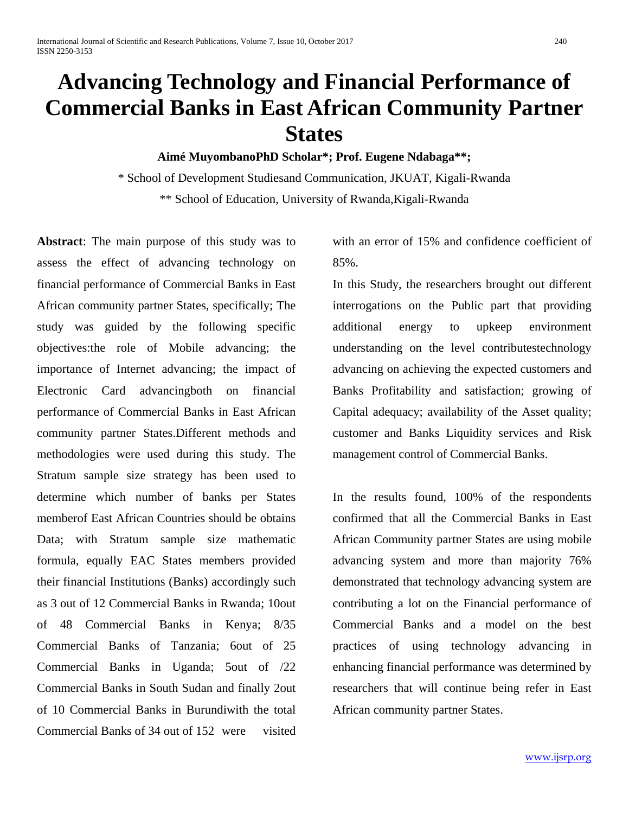# **Advancing Technology and Financial Performance of Commercial Banks in East African Community Partner States**

# **Aimé MuyombanoPhD Scholar\*; Prof. Eugene Ndabaga\*\*;**

\* School of Development Studiesand Communication, JKUAT, Kigali-Rwanda \*\* School of Education, University of Rwanda,Kigali-Rwanda

**Abstract**: The main purpose of this study was to assess the effect of advancing technology on financial performance of Commercial Banks in East African community partner States, specifically; The study was guided by the following specific objectives:the role of Mobile advancing; the importance of Internet advancing; the impact of Electronic Card advancingboth on financial performance of Commercial Banks in East African community partner States.Different methods and methodologies were used during this study. The Stratum sample size strategy has been used to determine which number of banks per States memberof East African Countries should be obtains Data; with Stratum sample size mathematic formula, equally EAC States members provided their financial Institutions (Banks) accordingly such as 3 out of 12 Commercial Banks in Rwanda; 10out of 48 Commercial Banks in Kenya; 8/35 Commercial Banks of Tanzania; 6out of 25 Commercial Banks in Uganda; 5out of /22 Commercial Banks in South Sudan and finally 2out of 10 Commercial Banks in Burundiwith the total Commercial Banks of 34 out of 152 were visited

with an error of 15% and confidence coefficient of 85%.

In this Study, the researchers brought out different interrogations on the Public part that providing additional energy to upkeep environment understanding on the level contributestechnology advancing on achieving the expected customers and Banks Profitability and satisfaction; growing of Capital adequacy; availability of the Asset quality; customer and Banks Liquidity services and Risk management control of Commercial Banks.

In the results found, 100% of the respondents confirmed that all the Commercial Banks in East African Community partner States are using mobile advancing system and more than majority 76% demonstrated that technology advancing system are contributing a lot on the Financial performance of Commercial Banks and a model on the best practices of using technology advancing in enhancing financial performance was determined by researchers that will continue being refer in East African community partner States.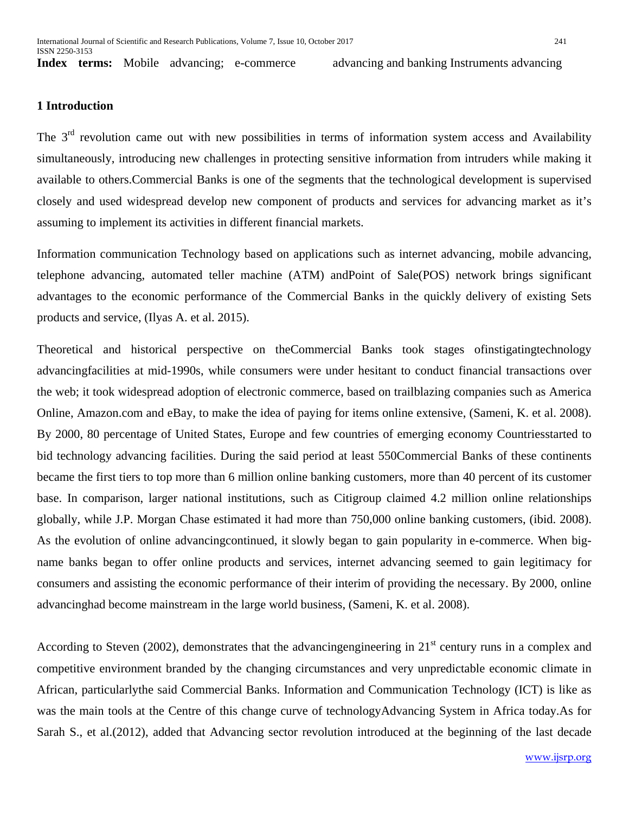**Index** terms: Mobile advancing: e-commerce advancing and banking Instruments advancing

#### **1 Introduction**

The 3<sup>rd</sup> revolution came out with new possibilities in terms of information system access and Availability simultaneously, introducing new challenges in protecting sensitive information from intruders while making it available to others.Commercial Banks is one of the segments that the technological development is supervised closely and used widespread develop new component of products and services for advancing market as it's assuming to implement its activities in different financial markets.

Information communication Technology based on applications such as internet advancing, mobile advancing, telephone advancing, automated teller machine (ATM) andPoint of Sale(POS) network brings significant advantages to the economic performance of the Commercial Banks in the quickly delivery of existing Sets products and service, (Ilyas A. et al. 2015).

Theoretical and historical perspective on theCommercial Banks took stages ofinstigatingtechnology advancingfacilities at mid-1990s, while consumers were under hesitant to conduct financial transactions over the web; it took widespread adoption of electronic commerce, based on trailblazing companies such as America Online, Amazon.com and eBay, to make the idea of paying for items online extensive, (Sameni, K. et al. 2008). By 2000, 80 percentage of United States, Europe and few countries of emerging economy Countriesstarted to bid technology advancing facilities. During the said period at least 550Commercial Banks of these continents became the first tiers to top more than 6 million online banking customers, more than 40 percent of its customer base. In comparison, larger national institutions, such as Citigroup claimed 4.2 million online relationships globally, while J.P. Morgan Chase estimated it had more than 750,000 online banking customers, (ibid. 2008). As the evolution of online advancingcontinued, it slowly began to gain popularity in e-commerce. When bigname banks began to offer online products and services, internet advancing seemed to gain legitimacy for consumers and assisting the economic performance of their interim of providing the necessary. By 2000, online advancinghad become mainstream in the large world business, (Sameni, K. et al. 2008).

According to Steven (2002), demonstrates that the advancing engineering in  $21<sup>st</sup>$  century runs in a complex and competitive environment branded by the changing circumstances and very unpredictable economic climate in African, particularlythe said Commercial Banks. Information and Communication Technology (ICT) is like as was the main tools at the Centre of this change curve of technologyAdvancing System in Africa today.As for Sarah S., et al.(2012), added that Advancing sector revolution introduced at the beginning of the last decade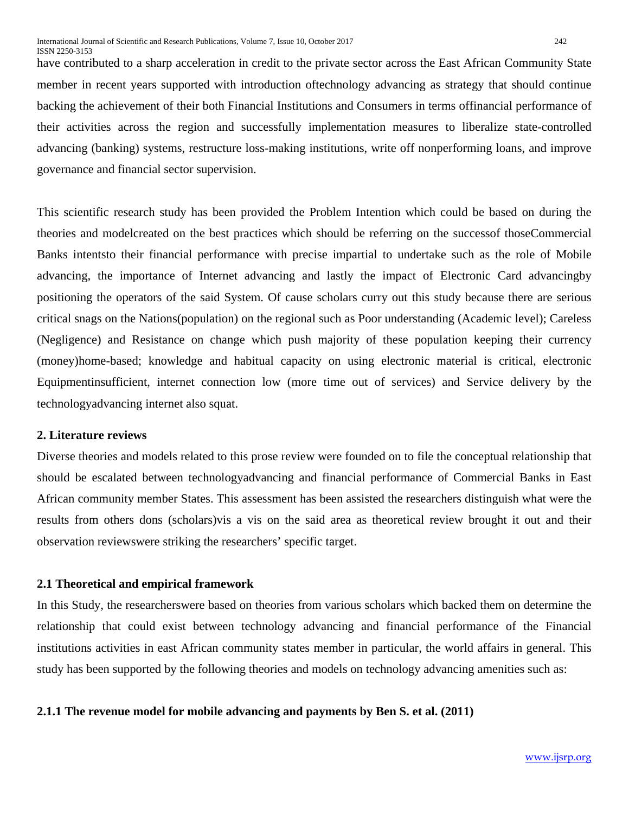have contributed to a sharp acceleration in credit to the private sector across the East African Community State member in recent years supported with introduction oftechnology advancing as strategy that should continue backing the achievement of their both Financial Institutions and Consumers in terms offinancial performance of their activities across the region and successfully implementation measures to liberalize state-controlled advancing (banking) systems, restructure loss-making institutions, write off nonperforming loans, and improve governance and financial sector supervision.

This scientific research study has been provided the Problem Intention which could be based on during the theories and modelcreated on the best practices which should be referring on the successof thoseCommercial Banks intentsto their financial performance with precise impartial to undertake such as the role of Mobile advancing, the importance of Internet advancing and lastly the impact of Electronic Card advancingby positioning the operators of the said System. Of cause scholars curry out this study because there are serious critical snags on the Nations(population) on the regional such as Poor understanding (Academic level); Careless (Negligence) and Resistance on change which push majority of these population keeping their currency (money)home-based; knowledge and habitual capacity on using electronic material is critical, electronic Equipmentinsufficient, internet connection low (more time out of services) and Service delivery by the technologyadvancing internet also squat.

#### **2. Literature reviews**

Diverse theories and models related to this prose review were founded on to file the conceptual relationship that should be escalated between technologyadvancing and financial performance of Commercial Banks in East African community member States. This assessment has been assisted the researchers distinguish what were the results from others dons (scholars)vis a vis on the said area as theoretical review brought it out and their observation reviewswere striking the researchers' specific target.

#### **2.1 Theoretical and empirical framework**

In this Study, the researcherswere based on theories from various scholars which backed them on determine the relationship that could exist between technology advancing and financial performance of the Financial institutions activities in east African community states member in particular, the world affairs in general. This study has been supported by the following theories and models on technology advancing amenities such as:

#### **2.1.1 The revenue model for mobile advancing and payments by Ben S. et al. (2011)**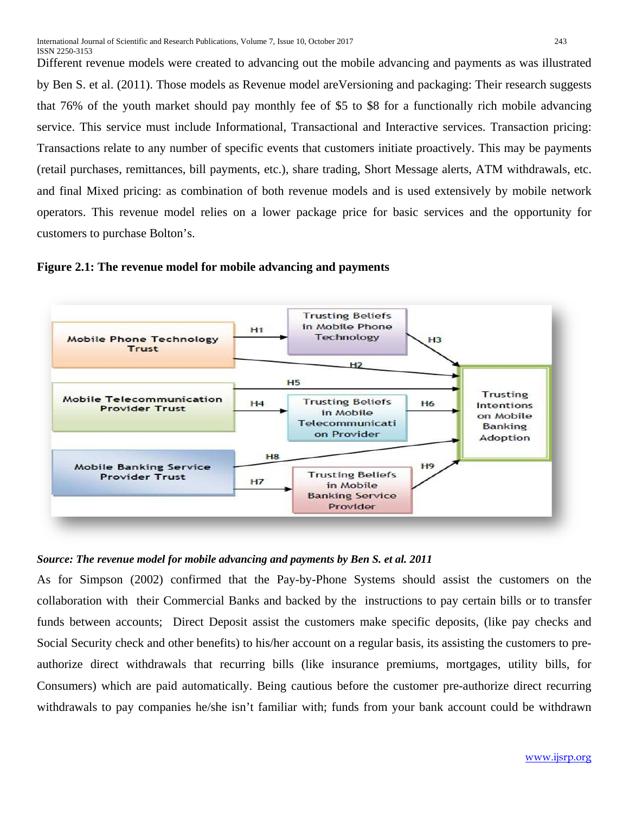Different revenue models were created to advancing out the mobile advancing and payments as was illustrated by Ben S. et al. (2011). Those models as Revenue model areVersioning and packaging: Their research suggests that 76% of the youth market should pay monthly fee of \$5 to \$8 for a functionally rich mobile advancing service. This service must include Informational, Transactional and Interactive services. Transaction pricing: Transactions relate to any number of specific events that customers initiate proactively. This may be payments (retail purchases, remittances, bill payments, etc.), share trading, Short Message alerts, ATM withdrawals, etc. and final Mixed pricing: as combination of both revenue models and is used extensively by mobile network operators. This revenue model relies on a lower package price for basic services and the opportunity for customers to purchase Bolton's.





#### *Source: The revenue model for mobile advancing and payments by Ben S. et al. 2011*

As for Simpson (2002) confirmed that the Pay-by-Phone Systems should assist the customers on the collaboration with their Commercial Banks and backed by the instructions to pay certain bills or to transfer funds between accounts; Direct Deposit assist the customers make specific deposits, (like pay checks and Social Security check and other benefits) to his/her account on a regular basis, its assisting the customers to preauthorize direct withdrawals that recurring bills (like insurance premiums, mortgages, utility bills, for Consumers) which are paid automatically. Being cautious before the customer pre-authorize direct recurring withdrawals to pay companies he/she isn't familiar with; funds from your bank account could be withdrawn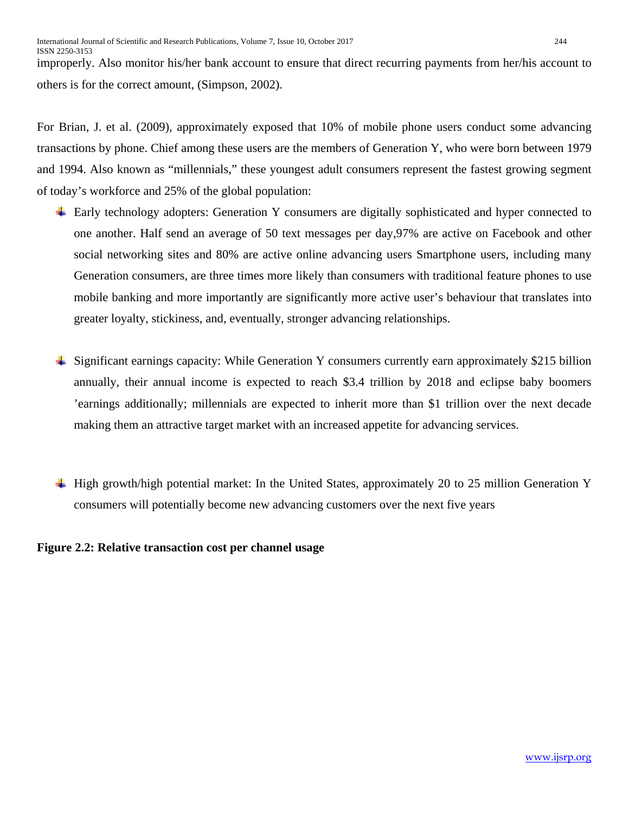improperly. Also monitor his/her bank account to ensure that direct recurring payments from her/his account to others is for the correct amount, (Simpson, 2002).

For Brian, J. et al. (2009), approximately exposed that 10% of mobile phone users conduct some advancing transactions by phone. Chief among these users are the members of Generation Y, who were born between 1979 and 1994. Also known as "millennials," these youngest adult consumers represent the fastest growing segment of today's workforce and 25% of the global population:

- Early technology adopters: Generation Y consumers are digitally sophisticated and hyper connected to one another. Half send an average of 50 text messages per day,97% are active on Facebook and other social networking sites and 80% are active online advancing users Smartphone users, including many Generation consumers, are three times more likely than consumers with traditional feature phones to use mobile banking and more importantly are significantly more active user's behaviour that translates into greater loyalty, stickiness, and, eventually, stronger advancing relationships.
- Significant earnings capacity: While Generation Y consumers currently earn approximately \$215 billion annually, their annual income is expected to reach \$3.4 trillion by 2018 and eclipse baby boomers 'earnings additionally; millennials are expected to inherit more than \$1 trillion over the next decade making them an attractive target market with an increased appetite for advancing services.
- $\pm$  High growth/high potential market: In the United States, approximately 20 to 25 million Generation Y consumers will potentially become new advancing customers over the next five years

**Figure 2.2: Relative transaction cost per channel usage**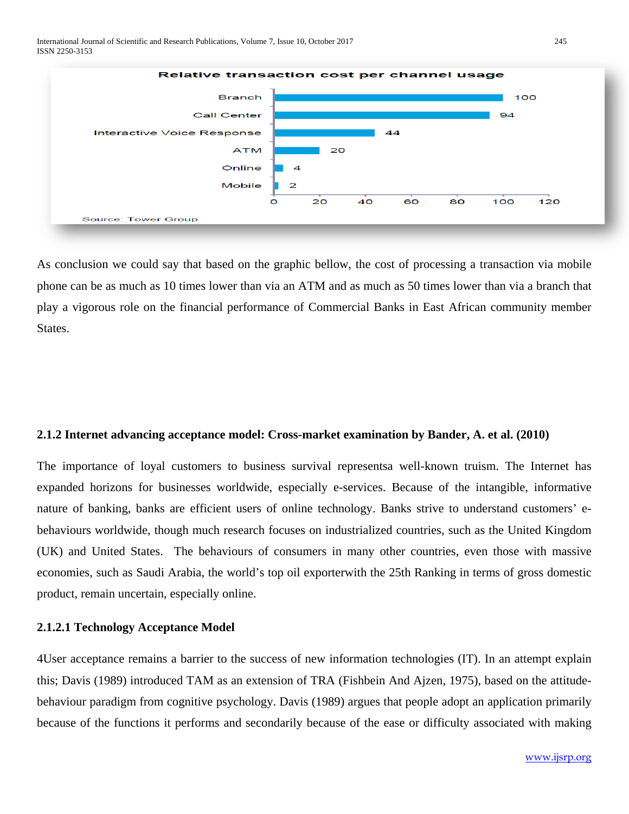

As conclusion we could say that based on the graphic bellow, the cost of processing a transaction via mobile phone can be as much as 10 times lower than via an ATM and as much as 50 times lower than via a branch that play a vigorous role on the financial performance of Commercial Banks in East African community member States.

#### **2.1.2 Internet advancing acceptance model: Cross-market examination by Bander, A. et al. (2010)**

The importance of loyal customers to business survival representsa well-known truism. The Internet has expanded horizons for businesses worldwide, especially e-services. Because of the intangible, informative nature of banking, banks are efficient users of online technology. Banks strive to understand customers' ebehaviours worldwide, though much research focuses on industrialized countries, such as the United Kingdom (UK) and United States. The behaviours of consumers in many other countries, even those with massive economies, such as Saudi Arabia, the world's top oil exporterwith the 25th Ranking in terms of gross domestic product, remain uncertain, especially online.

#### **2.1.2.1 Technology Acceptance Model**

4User acceptance remains a barrier to the success of new information technologies (IT). In an attempt explain this; Davis (1989) introduced TAM as an extension of TRA (Fishbein And Ajzen, 1975), based on the attitudebehaviour paradigm from cognitive psychology. Davis (1989) argues that people adopt an application primarily because of the functions it performs and secondarily because of the ease or difficulty associated with making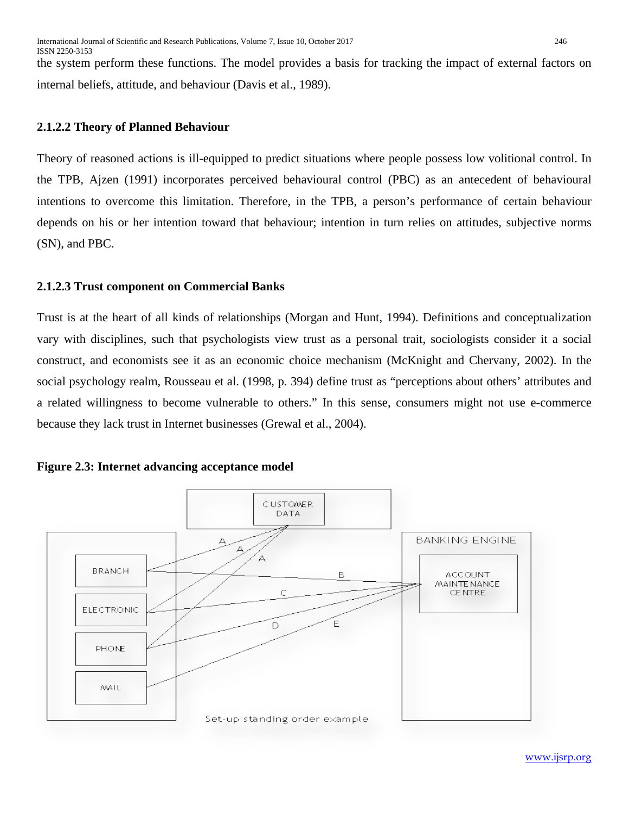the system perform these functions. The model provides a basis for tracking the impact of external factors on internal beliefs, attitude, and behaviour (Davis et al., 1989).

#### **2.1.2.2 Theory of Planned Behaviour**

Theory of reasoned actions is ill-equipped to predict situations where people possess low volitional control. In the TPB, Ajzen (1991) incorporates perceived behavioural control (PBC) as an antecedent of behavioural intentions to overcome this limitation. Therefore, in the TPB, a person's performance of certain behaviour depends on his or her intention toward that behaviour; intention in turn relies on attitudes, subjective norms (SN), and PBC.

#### **2.1.2.3 Trust component on Commercial Banks**

Trust is at the heart of all kinds of relationships (Morgan and Hunt, 1994). Definitions and conceptualization vary with disciplines, such that psychologists view trust as a personal trait, sociologists consider it a social construct, and economists see it as an economic choice mechanism (McKnight and Chervany, 2002). In the social psychology realm, Rousseau et al. (1998, p. 394) define trust as "perceptions about others' attributes and a related willingness to become vulnerable to others." In this sense, consumers might not use e-commerce because they lack trust in Internet businesses (Grewal et al., 2004).





[www.ijsrp.org](http://ijsrp.org/)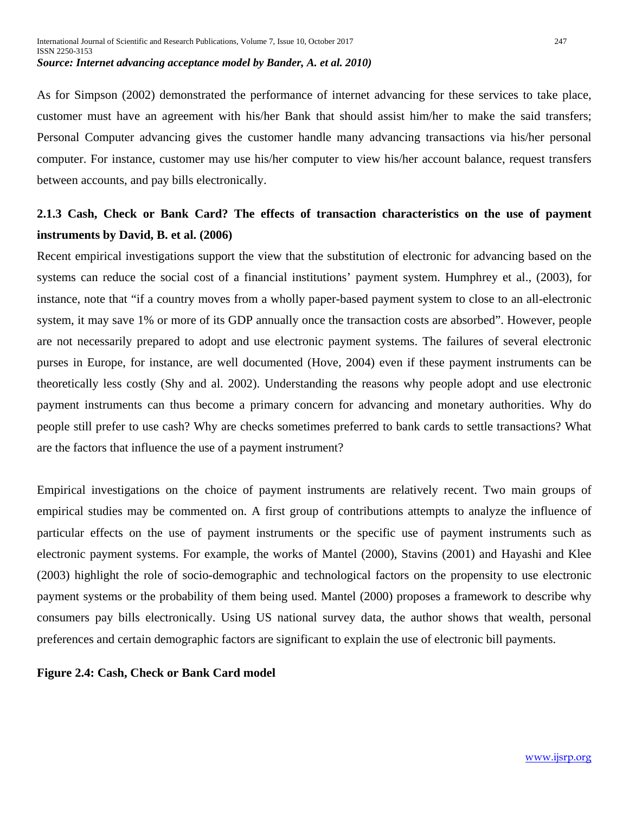As for Simpson (2002) demonstrated the performance of internet advancing for these services to take place, customer must have an agreement with his/her Bank that should assist him/her to make the said transfers; Personal Computer advancing gives the customer handle many advancing transactions via his/her personal computer. For instance, customer may use his/her computer to view his/her account balance, request transfers between accounts, and pay bills electronically.

# **2.1.3 Cash, Check or Bank Card? The effects of transaction characteristics on the use of payment instruments by David, B. et al. (2006)**

Recent empirical investigations support the view that the substitution of electronic for advancing based on the systems can reduce the social cost of a financial institutions' payment system. Humphrey et al., (2003), for instance, note that "if a country moves from a wholly paper-based payment system to close to an all-electronic system, it may save 1% or more of its GDP annually once the transaction costs are absorbed". However, people are not necessarily prepared to adopt and use electronic payment systems. The failures of several electronic purses in Europe, for instance, are well documented (Hove, 2004) even if these payment instruments can be theoretically less costly (Shy and al. 2002). Understanding the reasons why people adopt and use electronic payment instruments can thus become a primary concern for advancing and monetary authorities. Why do people still prefer to use cash? Why are checks sometimes preferred to bank cards to settle transactions? What are the factors that influence the use of a payment instrument?

Empirical investigations on the choice of payment instruments are relatively recent. Two main groups of empirical studies may be commented on. A first group of contributions attempts to analyze the influence of particular effects on the use of payment instruments or the specific use of payment instruments such as electronic payment systems. For example, the works of Mantel (2000), Stavins (2001) and Hayashi and Klee (2003) highlight the role of socio-demographic and technological factors on the propensity to use electronic payment systems or the probability of them being used. Mantel (2000) proposes a framework to describe why consumers pay bills electronically. Using US national survey data, the author shows that wealth, personal preferences and certain demographic factors are significant to explain the use of electronic bill payments.

#### **Figure 2.4: Cash, Check or Bank Card model**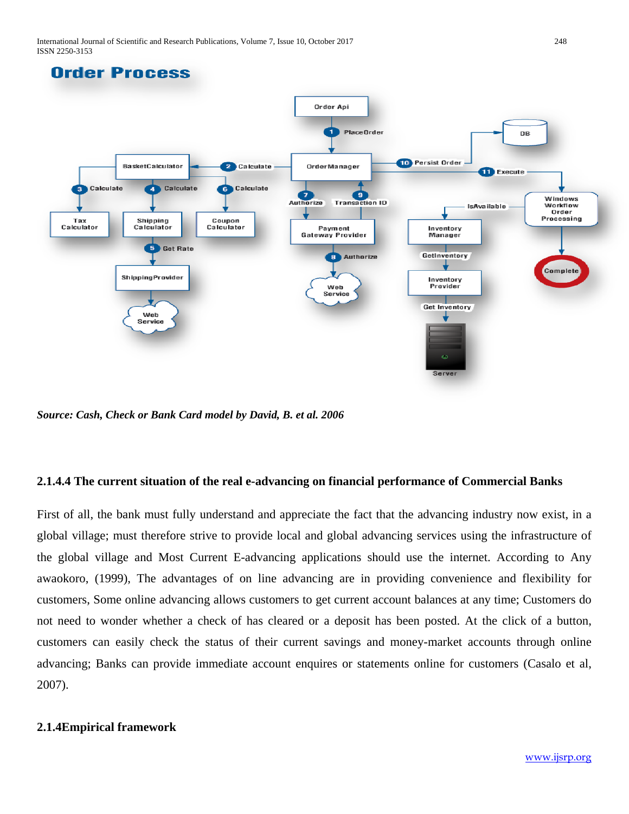International Journal of Scientific and Research Publications, Volume 7, Issue 10, October 2017 248 ISSN 2250-3153



*Source: Cash, Check or Bank Card model by David, B. et al. 2006*

# **2.1.4.4 The current situation of the real e-advancing on financial performance of Commercial Banks**

First of all, the bank must fully understand and appreciate the fact that the advancing industry now exist, in a global village; must therefore strive to provide local and global advancing services using the infrastructure of the global village and Most Current E-advancing applications should use the internet. According to Any awaokoro, (1999), The advantages of on line advancing are in providing convenience and flexibility for customers, Some online advancing allows customers to get current account balances at any time; Customers do not need to wonder whether a check of has cleared or a deposit has been posted. At the click of a button, customers can easily check the status of their current savings and money-market accounts through online advancing; Banks can provide immediate account enquires or statements online for customers (Casalo et al, 2007).

# **2.1.4Empirical framework**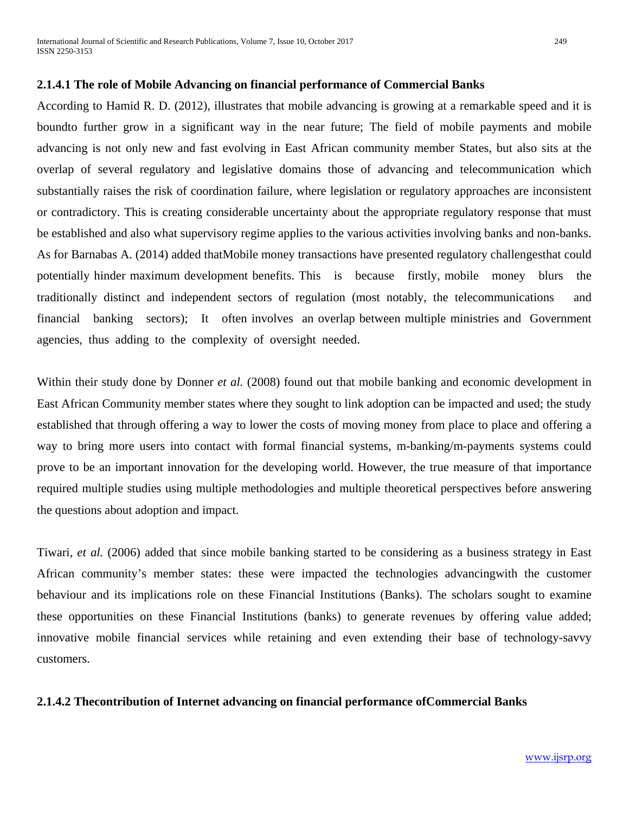#### **2.1.4.1 The role of Mobile Advancing on financial performance of Commercial Banks**

According to Hamid R. D. (2012), illustrates that mobile advancing is growing at a remarkable speed and it is boundto further grow in a significant way in the near future; The field of mobile payments and mobile advancing is not only new and fast evolving in East African community member States, but also sits at the overlap of several regulatory and legislative domains those of advancing and telecommunication which substantially raises the risk of coordination failure, where legislation or regulatory approaches are inconsistent or contradictory. This is creating considerable uncertainty about the appropriate regulatory response that must be established and also what supervisory regime applies to the various activities involving banks and non-banks. As for Barnabas A. (2014) added thatMobile money transactions have presented regulatory challengesthat could potentially hinder maximum development benefits. This is because firstly, mobile money blurs the traditionally distinct and independent sectors of regulation (most notably, the telecommunications and financial banking sectors); It often involves an overlap between multiple ministries and Government agencies, thus adding to the complexity of oversight needed.

Within their study done by Donner *et al.* (2008) found out that mobile banking and economic development in East African Community member states where they sought to link adoption can be impacted and used; the study established that through offering a way to lower the costs of moving money from place to place and offering a way to bring more users into contact with formal financial systems, m-banking/m-payments systems could prove to be an important innovation for the developing world. However, the true measure of that importance required multiple studies using multiple methodologies and multiple theoretical perspectives before answering the questions about adoption and impact.

Tiwari, *et al.* (2006) added that since mobile banking started to be considering as a business strategy in East African community's member states: these were impacted the technologies advancingwith the customer behaviour and its implications role on these Financial Institutions (Banks). The scholars sought to examine these opportunities on these Financial Institutions (banks) to generate revenues by offering value added; innovative mobile financial services while retaining and even extending their base of technology-savvy customers.

#### **2.1.4.2 Thecontribution of Internet advancing on financial performance ofCommercial Banks**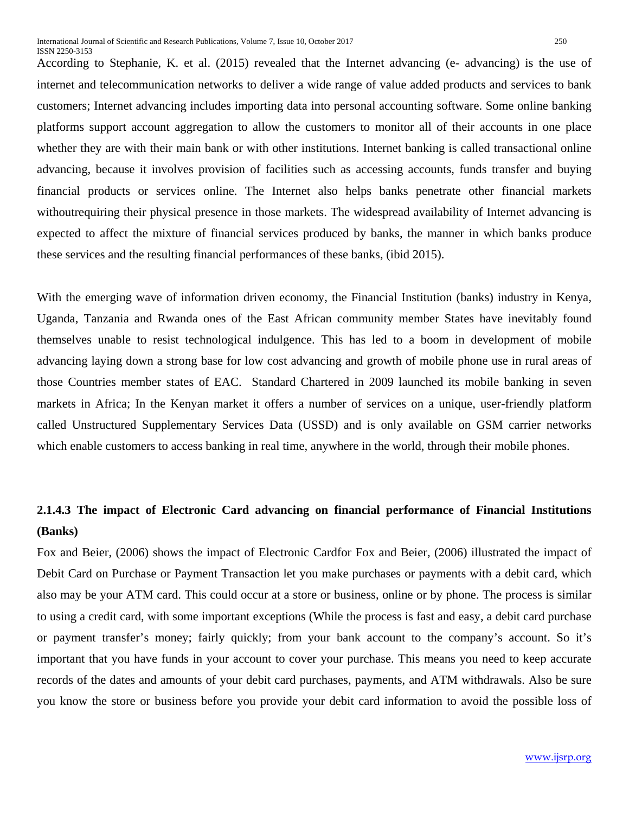According to Stephanie, K. et al. (2015) revealed that the Internet advancing (e- advancing) is the use of internet and telecommunication networks to deliver a wide range of value added products and services to bank customers; Internet advancing includes importing data into personal accounting software. Some online banking platforms support account aggregation to allow the customers to monitor all of their accounts in one place whether they are with their main bank or with other institutions. Internet banking is called transactional online advancing, because it involves provision of facilities such as accessing accounts, funds transfer and buying financial products or services online. The Internet also helps banks penetrate other financial markets withoutrequiring their physical presence in those markets. The widespread availability of Internet advancing is expected to affect the mixture of financial services produced by banks, the manner in which banks produce these services and the resulting financial performances of these banks, (ibid 2015).

With the emerging wave of information driven economy, the Financial Institution (banks) industry in Kenya, Uganda, Tanzania and Rwanda ones of the East African community member States have inevitably found themselves unable to resist technological indulgence. This has led to a boom in development of mobile advancing laying down a strong base for low cost advancing and growth of mobile phone use in rural areas of those Countries member states of EAC. Standard Chartered in 2009 launched its mobile banking in seven markets in Africa; In the Kenyan market it offers a number of services on a unique, user-friendly platform called Unstructured Supplementary Services Data (USSD) and is only available on GSM carrier networks which enable customers to access banking in real time, anywhere in the world, through their mobile phones.

# **2.1.4.3 The impact of Electronic Card advancing on financial performance of Financial Institutions (Banks)**

Fox and Beier, (2006) shows the impact of Electronic Cardfor Fox and Beier, (2006) illustrated the impact of Debit Card on Purchase or Payment Transaction let you make purchases or payments with a debit card, which also may be your ATM card. This could occur at a store or business, online or by phone. The process is similar to using a credit card, with some important exceptions (While the process is fast and easy, a debit card purchase or payment transfer's money; fairly quickly; from your bank account to the company's account. So it's important that you have funds in your account to cover your purchase. This means you need to keep accurate records of the dates and amounts of your debit card purchases, payments, and ATM withdrawals. Also be sure you know the store or business before you provide your debit card information to avoid the possible loss of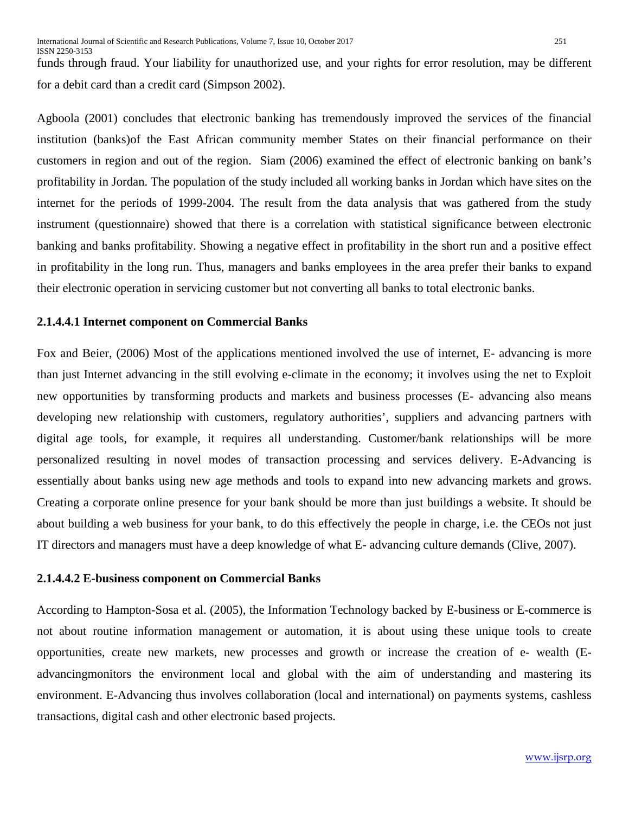funds through fraud. Your liability for unauthorized use, and your rights for error resolution, may be different for a debit card than a credit card (Simpson 2002).

Agboola (2001) concludes that electronic banking has tremendously improved the services of the financial institution (banks)of the East African community member States on their financial performance on their customers in region and out of the region. Siam (2006) examined the effect of electronic banking on bank's profitability in Jordan. The population of the study included all working banks in Jordan which have sites on the internet for the periods of 1999-2004. The result from the data analysis that was gathered from the study instrument (questionnaire) showed that there is a correlation with statistical significance between electronic banking and banks profitability. Showing a negative effect in profitability in the short run and a positive effect in profitability in the long run. Thus, managers and banks employees in the area prefer their banks to expand their electronic operation in servicing customer but not converting all banks to total electronic banks.

#### **2.1.4.4.1 Internet component on Commercial Banks**

Fox and Beier, (2006) Most of the applications mentioned involved the use of internet, E- advancing is more than just Internet advancing in the still evolving e-climate in the economy; it involves using the net to Exploit new opportunities by transforming products and markets and business processes (E- advancing also means developing new relationship with customers, regulatory authorities', suppliers and advancing partners with digital age tools, for example, it requires all understanding. Customer/bank relationships will be more personalized resulting in novel modes of transaction processing and services delivery. E-Advancing is essentially about banks using new age methods and tools to expand into new advancing markets and grows. Creating a corporate online presence for your bank should be more than just buildings a website. It should be about building a web business for your bank, to do this effectively the people in charge, i.e. the CEOs not just IT directors and managers must have a deep knowledge of what E- advancing culture demands (Clive, 2007).

#### **2.1.4.4.2 E-business component on Commercial Banks**

According to Hampton-Sosa et al. (2005), the Information Technology backed by E-business or E-commerce is not about routine information management or automation, it is about using these unique tools to create opportunities, create new markets, new processes and growth or increase the creation of e- wealth (Eadvancingmonitors the environment local and global with the aim of understanding and mastering its environment. E-Advancing thus involves collaboration (local and international) on payments systems, cashless transactions, digital cash and other electronic based projects.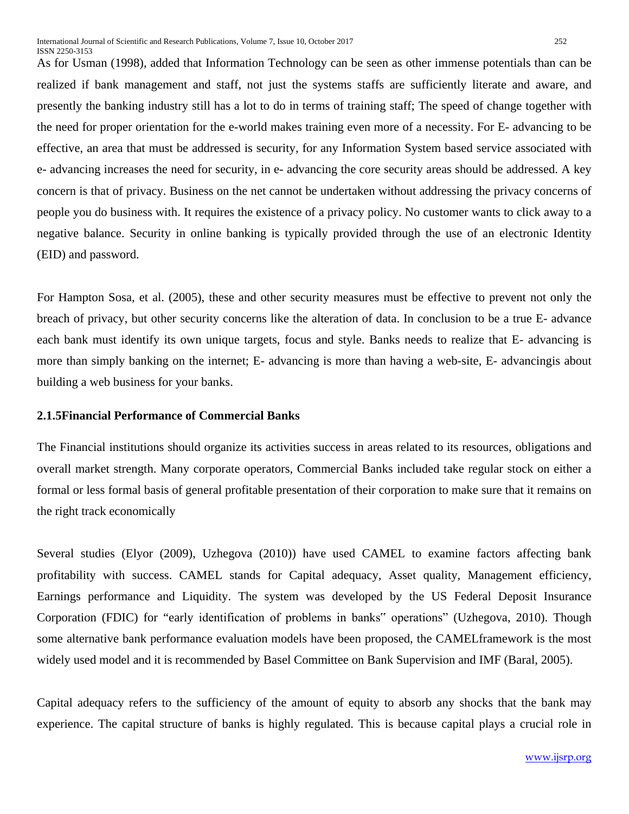As for Usman (1998), added that Information Technology can be seen as other immense potentials than can be realized if bank management and staff, not just the systems staffs are sufficiently literate and aware, and presently the banking industry still has a lot to do in terms of training staff; The speed of change together with the need for proper orientation for the e-world makes training even more of a necessity. For E- advancing to be effective, an area that must be addressed is security, for any Information System based service associated with e- advancing increases the need for security, in e- advancing the core security areas should be addressed. A key concern is that of privacy. Business on the net cannot be undertaken without addressing the privacy concerns of people you do business with. It requires the existence of a privacy policy. No customer wants to click away to a negative balance. Security in online banking is typically provided through the use of an electronic Identity (EID) and password.

For Hampton Sosa, et al. (2005), these and other security measures must be effective to prevent not only the breach of privacy, but other security concerns like the alteration of data. In conclusion to be a true E- advance each bank must identify its own unique targets, focus and style. Banks needs to realize that E- advancing is more than simply banking on the internet; E- advancing is more than having a web-site, E- advancingis about building a web business for your banks.

#### **2.1.5Financial Performance of Commercial Banks**

The Financial institutions should organize its activities success in areas related to its resources, obligations and overall market strength. Many corporate operators, Commercial Banks included take regular stock on either a formal or less formal basis of general profitable presentation of their corporation to make sure that it remains on the right track economically

Several studies (Elyor (2009), Uzhegova (2010)) have used CAMEL to examine factors affecting bank profitability with success. CAMEL stands for Capital adequacy, Asset quality, Management efficiency, Earnings performance and Liquidity. The system was developed by the US Federal Deposit Insurance Corporation (FDIC) for "early identification of problems in banks" operations" (Uzhegova, 2010). Though some alternative bank performance evaluation models have been proposed, the CAMELframework is the most widely used model and it is recommended by Basel Committee on Bank Supervision and IMF (Baral, 2005).

Capital adequacy refers to the sufficiency of the amount of equity to absorb any shocks that the bank may experience. The capital structure of banks is highly regulated. This is because capital plays a crucial role in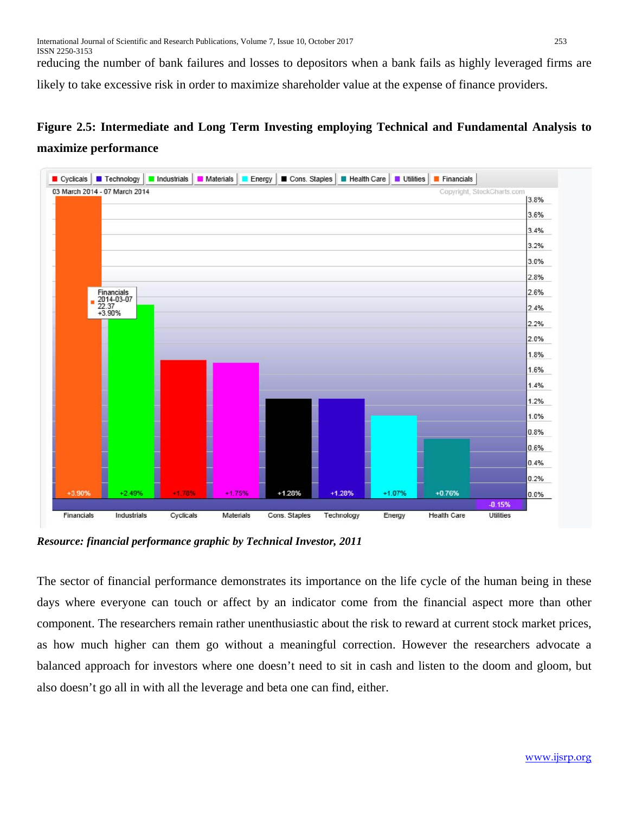reducing the number of bank failures and losses to depositors when a bank fails as highly leveraged firms are likely to take excessive risk in order to maximize shareholder value at the expense of finance providers.

# **Figure 2.5: Intermediate and Long Term Investing employing Technical and Fundamental Analysis to maximize performance**



*Resource: financial performance graphic by Technical Investor, 2011*

The sector of financial performance demonstrates its importance on the life cycle of the human being in these days where everyone can touch or affect by an indicator come from the financial aspect more than other component. The researchers remain rather unenthusiastic about the risk to reward at current stock market prices, as how much higher can them go without a meaningful correction. However the researchers advocate a balanced approach for investors where one doesn't need to sit in cash and listen to the doom and gloom, but also doesn't go all in with all the leverage and beta one can find, either.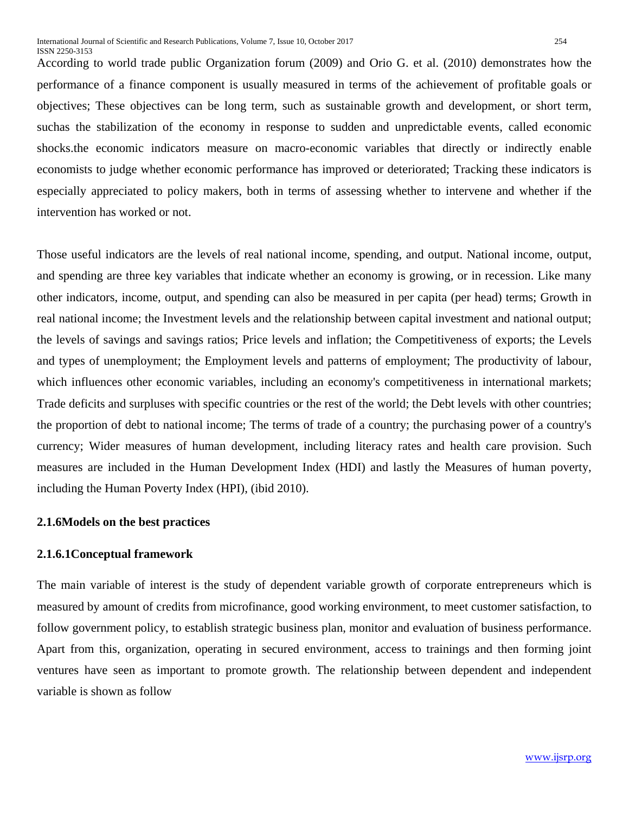According to world trade public Organization forum (2009) and Orio G. et al. (2010) demonstrates how the performance of a finance component is usually measured in terms of the achievement of profitable goals or objectives; These objectives can be long term, such as sustainable [growth](http://www.economicsonline.co.uk/Global_economics/Policies_for_stability_and_growth.html) and [development,](http://www.economicsonline.co.uk/Global_economics/Economic_development.html) or short term, suchas the stabilization of the economy in response to sudden and unpredictable events, called economic [shocks.](http://www.economicsonline.co.uk/Managing_the_economy/Demand_shocks.html)the economic indicators measure on macro-economic variables that directly or indirectly enable economists to judge whether economic performance has improved or deteriorated; Tracking these indicators is especially appreciated to policy makers, both in terms of assessing whether to intervene and whether if the intervention has worked or not.

Those useful indicators are the levels of real national [income,](http://www.economicsonline.co.uk/Managing_the_economy/National_income.php) spending, and output. National income, output, and spending are three key variables that indicate whether an economy is growing, or in recession. Like many other indicators, income, output, and spending can also be measured in per capita (per head) terms; Growth in [real national income;](http://www.economicsonline.co.uk/Managing_the_economy/National_income.php) the [Investment](http://www.economicsonline.co.uk/Managing_the_economy/Investment.html) levels and the relationship between capital investment and national output; the levels of [savings a](http://www.economicsonline.co.uk/Managing_the_economy/Saving.html)nd savings [ratios;](http://www.economicsonline.co.uk/Managing_the_economy/Saving.html) Price levels and [inflation;](http://www.economicsonline.co.uk/Managing_the_economy/Stable_prices.html) the [Competitiveness](http://www.economicsonline.co.uk/Global_economics/Competitiveness.html) of exports; the Levels and types of [unemployment;](http://www.economicsonline.co.uk/Managing_the_economy/Measuring_unemployment.html) the [Employment l](http://www.economicsonline.co.uk/Managing_the_economy/Employment_and_unemployment.html)evels and patterns of employment; The [productivity of labour,](http://www.economicsonline.co.uk/Managing_the_economy/Productivity.html) which influences other economic variables, including an economy's competitiveness in international markets; Trade [deficits and surpluses](http://www.economicsonline.co.uk/Global_economics/The_balance_of_payments.html) with specific countries or the rest of the world; the [Debt levels](http://www.economicsonline.co.uk/Global_economics/Development_constraints.html) with other countries; the proportion of [debt](http://www.economicsonline.co.uk/Global_economics/Fiscal_policy_government_spending.html) to national income; The [terms of trade](http://www.economicsonline.co.uk/Global_economics/Terms_of_trade.html) of a country; the [purchasing power](http://www.economicsonline.co.uk/Global_economics/Purchasing_power_parity.html) of a country's currency; Wider [measures of human development,](http://www.economicsonline.co.uk/Global_economics/Economic_development.html) including literacy rates and health care provision. Such measures are included in the [Human Development Index \(](http://www.economicsonline.co.uk/Global_economics/Economic_development.html)HDI) and lastly the Measures of human poverty, including the [Human Poverty Index](http://www.economicsonline.co.uk/Managing_the_economy/Poverty.html) (HPI), (ibid 2010).

#### **2.1.6Models on the best practices**

#### **2.1.6.1Conceptual framework**

The main variable of interest is the study of dependent variable growth of corporate entrepreneurs which is measured by amount of credits from microfinance, good working environment, to meet customer satisfaction, to follow government policy, to establish strategic business plan, monitor and evaluation of business performance. Apart from this, organization, operating in secured environment, access to trainings and then forming joint ventures have seen as important to promote growth. The relationship between dependent and independent variable is shown as follow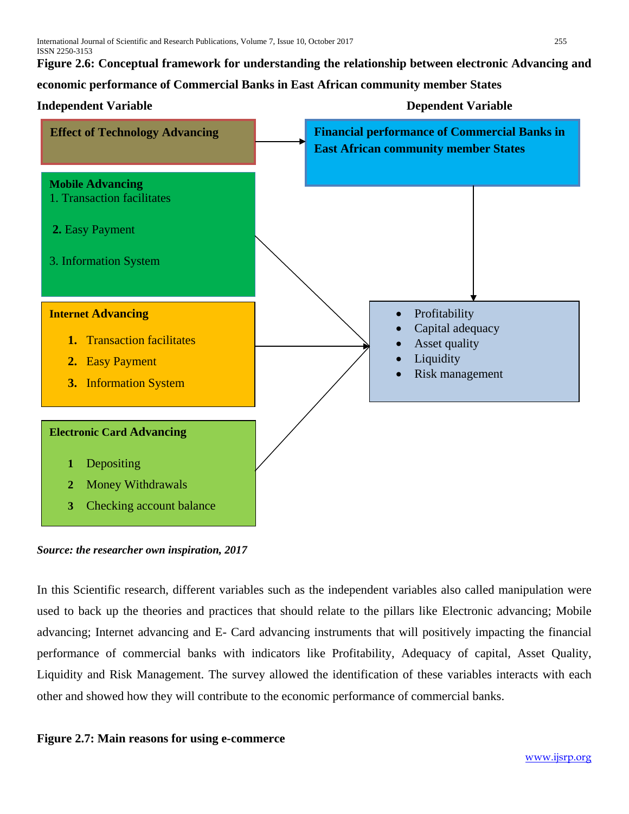**Figure 2.6: Conceptual framework for understanding the relationship between electronic Advancing and** 

**economic performance of Commercial Banks in East African community member States**



*Source: the researcher own inspiration, 2017*

In this Scientific research, different variables such as the independent variables also called manipulation were used to back up the theories and practices that should relate to the pillars like Electronic advancing; Mobile advancing; Internet advancing and E- Card advancing instruments that will positively impacting the financial performance of commercial banks with indicators like Profitability, Adequacy of capital, Asset Quality, Liquidity and Risk Management. The survey allowed the identification of these variables interacts with each other and showed how they will contribute to the economic performance of commercial banks.

# **Figure 2.7: Main reasons for using e-commerce**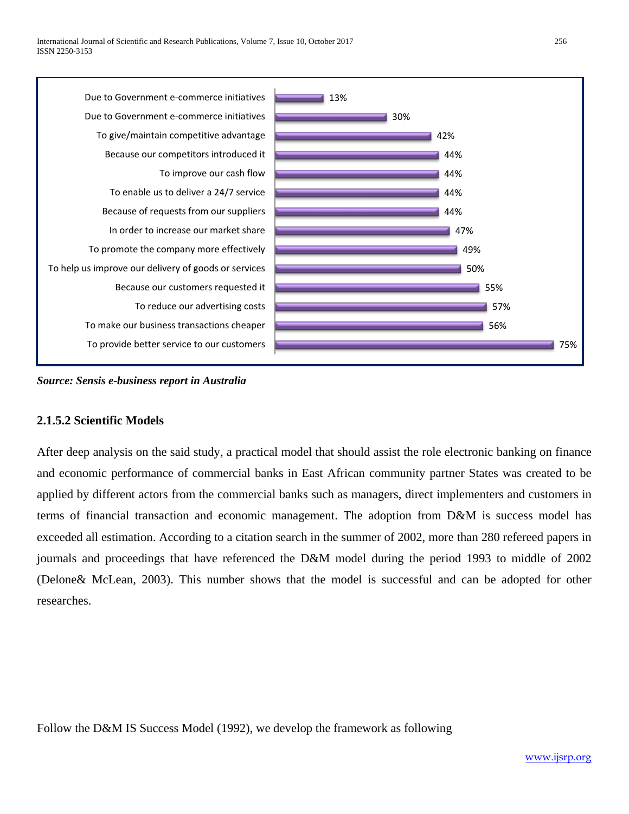

*Source: Sensis e-business report in Australia*

#### **2.1.5.2 Scientific Models**

After deep analysis on the said study, a practical model that should assist the role electronic banking on finance and economic performance of commercial banks in East African community partner States was created to be applied by different actors from the commercial banks such as managers, direct implementers and customers in terms of financial transaction and economic management. The adoption from D&M is success model has exceeded all estimation. According to a citation search in the summer of 2002, more than 280 refereed papers in journals and proceedings that have referenced the D&M model during the period 1993 to middle of 2002 (Delone& McLean, 2003). This number shows that the model is successful and can be adopted for other researches.

Follow the D&M IS Success Model (1992), we develop the framework as following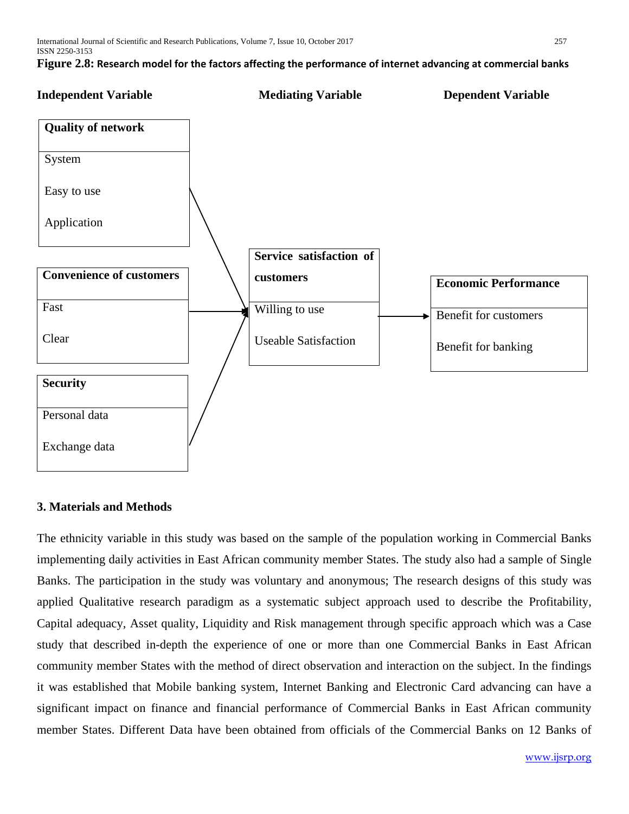

# **3. Materials and Methods**

The ethnicity variable in this study was based on the sample of the population working in Commercial Banks implementing daily activities in East African community member States. The study also had a sample of Single Banks. The participation in the study was voluntary and anonymous; The research designs of this study was applied Qualitative research paradigm as a systematic subject approach used to describe the Profitability, Capital adequacy, Asset quality, Liquidity and Risk management through specific approach which was a Case study that described in-depth the experience of one or more than one Commercial Banks in East African community member States with the method of direct observation and interaction on the subject. In the findings it was established that Mobile banking system, Internet Banking and Electronic Card advancing can have a significant impact on finance and financial performance of Commercial Banks in East African community member States. Different Data have been obtained from officials of the Commercial Banks on 12 Banks of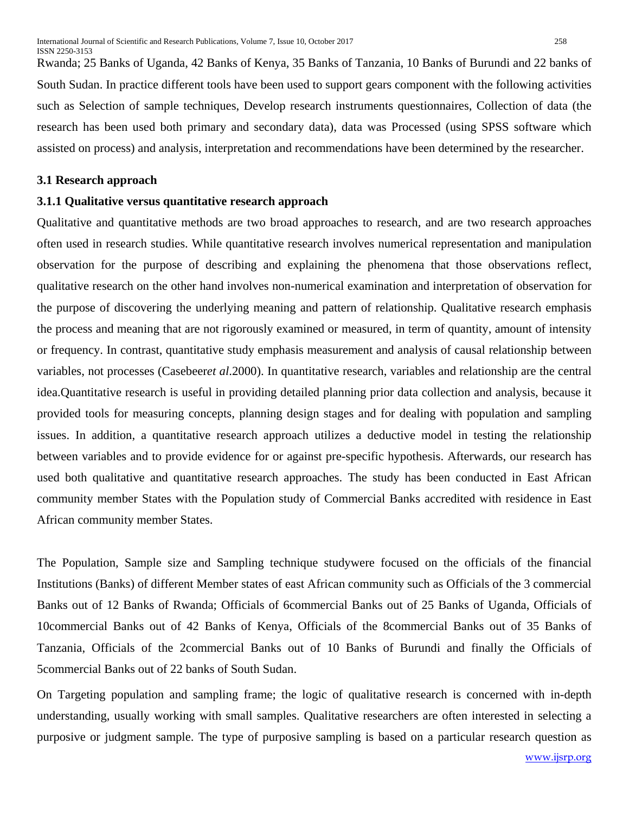Rwanda; 25 Banks of Uganda, 42 Banks of Kenya, 35 Banks of Tanzania, 10 Banks of Burundi and 22 banks of South Sudan. In practice different tools have been used to support gears component with the following activities such as Selection of sample techniques, Develop research instruments questionnaires, Collection of data (the research has been used both primary and secondary data), data was Processed (using SPSS software which assisted on process) and analysis, interpretation and recommendations have been determined by the researcher.

#### **3.1 Research approach**

#### **3.1.1 Qualitative versus quantitative research approach**

Qualitative and quantitative methods are two broad approaches to research, and are two research approaches often used in research studies. While quantitative research involves numerical representation and manipulation observation for the purpose of describing and explaining the phenomena that those observations reflect, qualitative research on the other hand involves non-numerical examination and interpretation of observation for the purpose of discovering the underlying meaning and pattern of relationship. Qualitative research emphasis the process and meaning that are not rigorously examined or measured, in term of quantity, amount of intensity or frequency. In contrast, quantitative study emphasis measurement and analysis of causal relationship between variables, not processes (Casebeer*et al*.2000). In quantitative research, variables and relationship are the central idea.Quantitative research is useful in providing detailed planning prior data collection and analysis, because it provided tools for measuring concepts, planning design stages and for dealing with population and sampling issues. In addition, a quantitative research approach utilizes a deductive model in testing the relationship between variables and to provide evidence for or against pre-specific hypothesis. Afterwards, our research has used both qualitative and quantitative research approaches. The study has been conducted in East African community member States with the Population study of Commercial Banks accredited with residence in East African community member States.

The Population, Sample size and Sampling technique studywere focused on the officials of the financial Institutions (Banks) of different Member states of east African community such as Officials of the 3 commercial Banks out of 12 Banks of Rwanda; Officials of 6commercial Banks out of 25 Banks of Uganda, Officials of 10commercial Banks out of 42 Banks of Kenya, Officials of the 8commercial Banks out of 35 Banks of Tanzania, Officials of the 2commercial Banks out of 10 Banks of Burundi and finally the Officials of 5commercial Banks out of 22 banks of South Sudan.

On Targeting population and sampling frame; the logic of qualitative research is concerned with in-depth understanding, usually working with small samples. Qualitative researchers are often interested in selecting a purposive or judgment sample. The type of purposive sampling is based on a particular research question as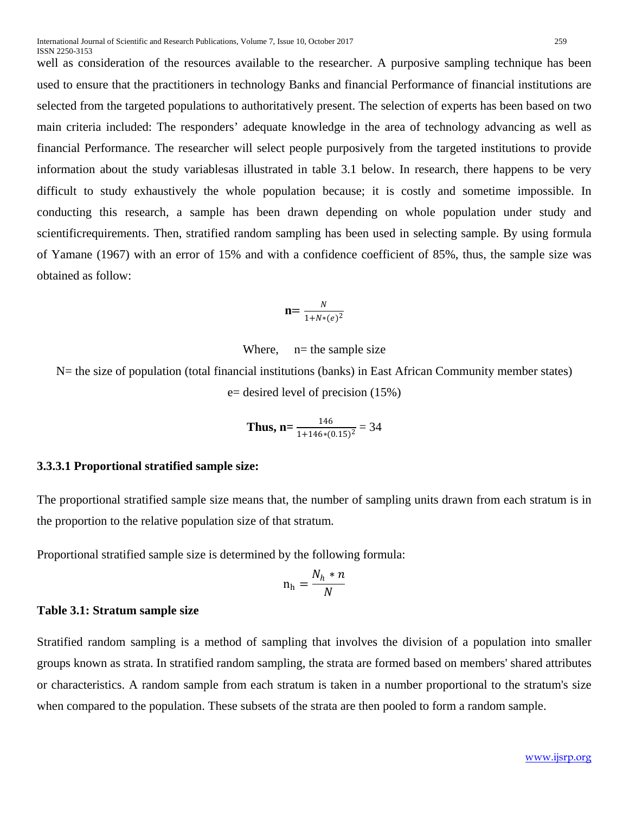well as consideration of the resources available to the researcher. A purposive sampling technique has been used to ensure that the practitioners in technology Banks and financial Performance of financial institutions are selected from the targeted populations to authoritatively present. The selection of experts has been based on two main criteria included: The responders' adequate knowledge in the area of technology advancing as well as financial Performance. The researcher will select people purposively from the targeted institutions to provide information about the study variablesas illustrated in table 3.1 below. In research, there happens to be very difficult to study exhaustively the whole population because; it is costly and sometime impossible. In conducting this research, a sample has been drawn depending on whole population under study and scientificrequirements. Then, stratified random sampling has been used in selecting sample. By using formula of Yamane (1967) with an error of 15% and with a confidence coefficient of 85%, thus, the sample size was obtained as follow:

$$
\mathbf{n} = \frac{N}{1 + N*(e)^2}
$$

Where, 
$$
n
$$
 = the sample size

N= the size of population (total financial institutions (banks) in East African Community member states) e= desired level of precision (15%)

Thus, 
$$
n = \frac{146}{1 + 146 * (0.15)^2} = 34
$$

#### **3.3.3.1 Proportional stratified sample size:**

The proportional stratified sample size means that, the number of sampling units drawn from each stratum is in the proportion to the relative population size of that stratum.

Proportional stratified sample size is determined by the following formula:

$$
n_h = \frac{N_h * n}{N}
$$

#### **Table 3.1: Stratum sample size**

Stratified random sampling is a method of sampling that involves the division of a population into smaller groups known as strata. In stratified random sampling, the strata are formed based on members' shared attributes or characteristics. A random sample from each stratum is taken in a number proportional to the stratum's size when compared to the population. These subsets of the strata are then pooled to form a random sample.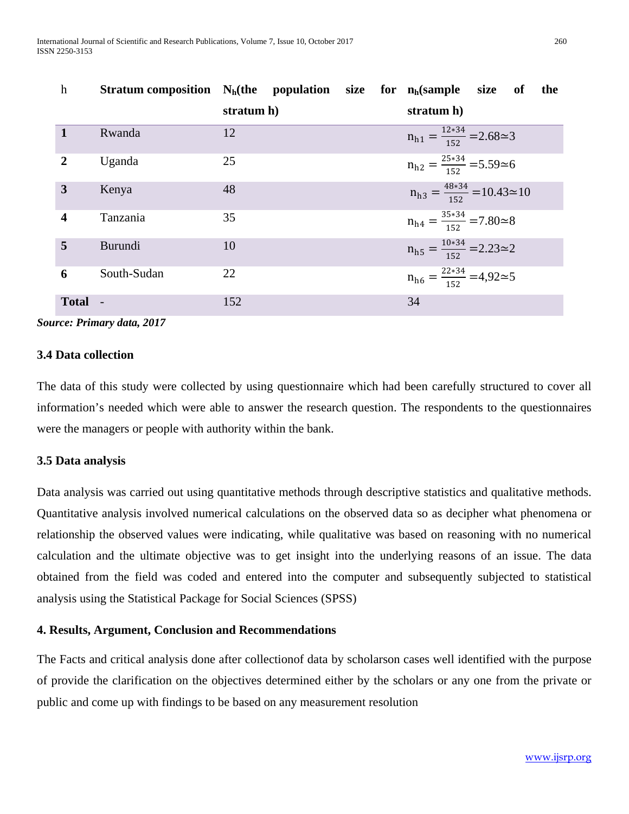| $\mathbf h$  | Stratum composition $N_h$ (the population size for $n_h$ (sample |            |  |                                                 | size of | the |
|--------------|------------------------------------------------------------------|------------|--|-------------------------------------------------|---------|-----|
|              |                                                                  | stratum h) |  | stratum h)                                      |         |     |
| $\mathbf{1}$ | Rwanda                                                           | 12         |  | $n_{h1} = \frac{12*34}{152} = 2.68 \approx 3$   |         |     |
| 2            | Uganda                                                           | 25         |  | $n_{h2} = \frac{25*34}{152} = 5.59 \approx 6$   |         |     |
| 3            | Kenya                                                            | 48         |  | $n_{h3} = \frac{48*34}{152} = 10.43 \approx 10$ |         |     |
| 4            | Tanzania                                                         | 35         |  | $n_{h4} = \frac{35*34}{152} = 7.80 \approx 8$   |         |     |
| 5            | <b>Burundi</b>                                                   | 10         |  | $n_{h5} = \frac{10*34}{152} = 2.23 \approx 2$   |         |     |
| 6            | South-Sudan                                                      | 22         |  | $n_{h6} = \frac{22*34}{152} = 4,92 \approx 5$   |         |     |
| Total -      |                                                                  | 152        |  | 34                                              |         |     |

*Source: Primary data, 2017*

#### **3.4 Data collection**

The data of this study were collected by using questionnaire which had been carefully structured to cover all information's needed which were able to answer the research question. The respondents to the questionnaires were the managers or people with authority within the bank.

#### **3.5 Data analysis**

Data analysis was carried out using quantitative methods through descriptive statistics and qualitative methods. Quantitative analysis involved numerical calculations on the observed data so as decipher what phenomena or relationship the observed values were indicating, while qualitative was based on reasoning with no numerical calculation and the ultimate objective was to get insight into the underlying reasons of an issue. The data obtained from the field was coded and entered into the computer and subsequently subjected to statistical analysis using the Statistical Package for Social Sciences (SPSS)

#### **4. Results, Argument, Conclusion and Recommendations**

The Facts and critical analysis done after collectionof data by scholarson cases well identified with the purpose of provide the clarification on the objectives determined either by the scholars or any one from the private or public and come up with findings to be based on any measurement resolution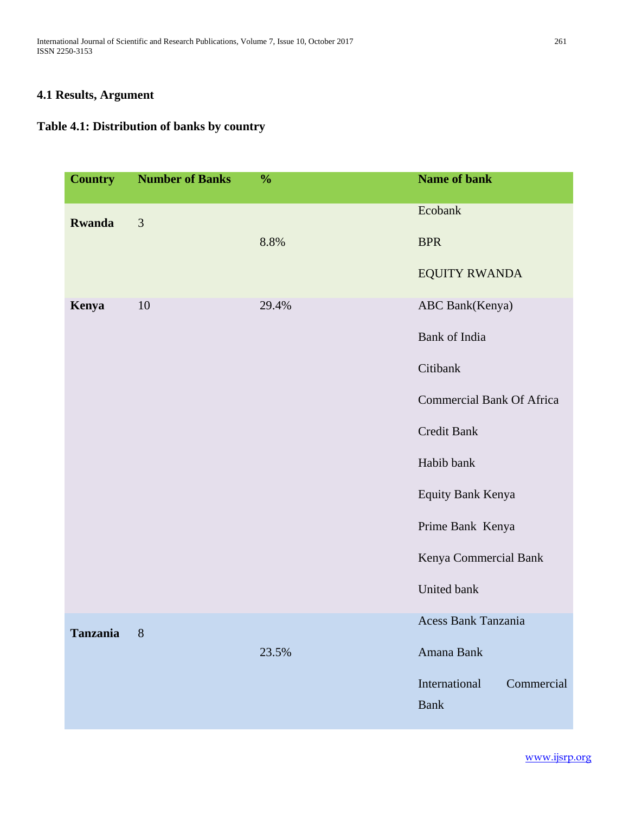International Journal of Scientific and Research Publications, Volume 7, Issue 10, October 2017 261 ISSN 2250-3153

# **4.1 Results, Argument**

# **Table 4.1: Distribution of banks by country**

| <b>Country</b> | <b>Number of Banks</b> | $\frac{0}{0}$ | <b>Name of bank</b>              |
|----------------|------------------------|---------------|----------------------------------|
| <b>Rwanda</b>  | 3                      |               | Ecobank                          |
|                |                        | 8.8%          | <b>BPR</b>                       |
|                |                        |               | <b>EQUITY RWANDA</b>             |
| Kenya          | 10                     | 29.4%         | ABC Bank(Kenya)                  |
|                |                        |               | Bank of India                    |
|                |                        |               | Citibank                         |
|                |                        |               | <b>Commercial Bank Of Africa</b> |
|                |                        |               | Credit Bank                      |
|                |                        |               | Habib bank                       |
|                |                        |               | Equity Bank Kenya                |
|                |                        |               | Prime Bank Kenya                 |
|                |                        |               | Kenya Commercial Bank            |
|                |                        |               | United bank                      |
| Tanzania       | 8                      |               | Acess Bank Tanzania              |
|                |                        | 23.5%         | Amana Bank                       |
|                |                        |               | International<br>Commercial      |
|                |                        |               | Bank                             |

[www.ijsrp.org](http://ijsrp.org/)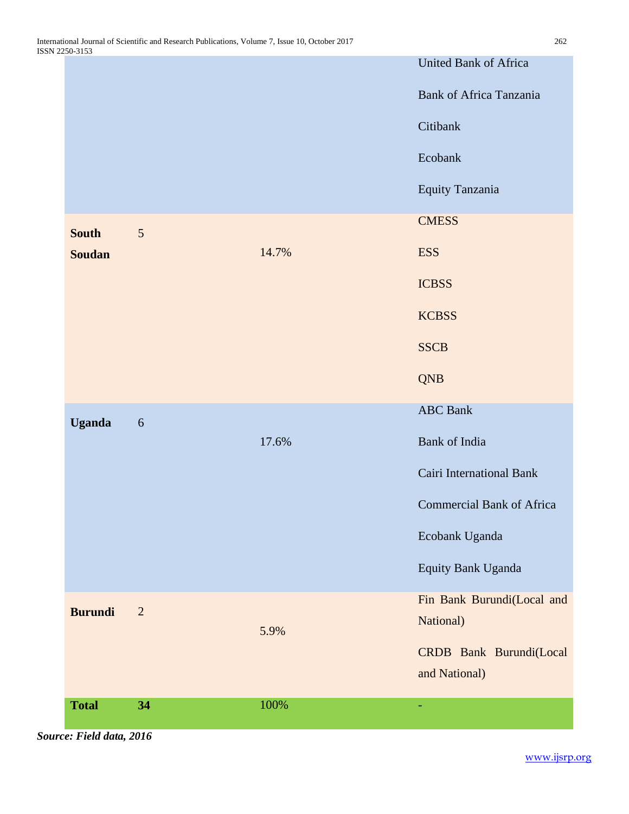|                |                  |       | <b>United Bank of Africa</b>     |
|----------------|------------------|-------|----------------------------------|
|                |                  |       | <b>Bank of Africa Tanzania</b>   |
|                |                  |       | Citibank                         |
|                |                  |       | Ecobank                          |
|                |                  |       | Equity Tanzania                  |
| <b>South</b>   | $\sqrt{5}$       |       | <b>CMESS</b>                     |
| <b>Soudan</b>  |                  | 14.7% | <b>ESS</b>                       |
|                |                  |       | <b>ICBSS</b>                     |
|                |                  |       | <b>KCBSS</b>                     |
|                |                  |       | <b>SSCB</b>                      |
|                |                  |       | <b>QNB</b>                       |
| <b>Uganda</b>  | $\boldsymbol{6}$ |       | <b>ABC</b> Bank                  |
|                |                  | 17.6% | Bank of India                    |
|                |                  |       | Cairi International Bank         |
|                |                  |       | <b>Commercial Bank of Africa</b> |
|                |                  |       | Ecobank Uganda                   |
|                |                  |       | Equity Bank Uganda               |
| <b>Burundi</b> | $\overline{2}$   |       | Fin Bank Burundi(Local and       |
|                |                  | 5.9%  | National)                        |
|                |                  |       | CRDB Bank Burundi(Local          |
|                |                  |       | and National)                    |
|                |                  |       |                                  |

*Source: Field data, 2016*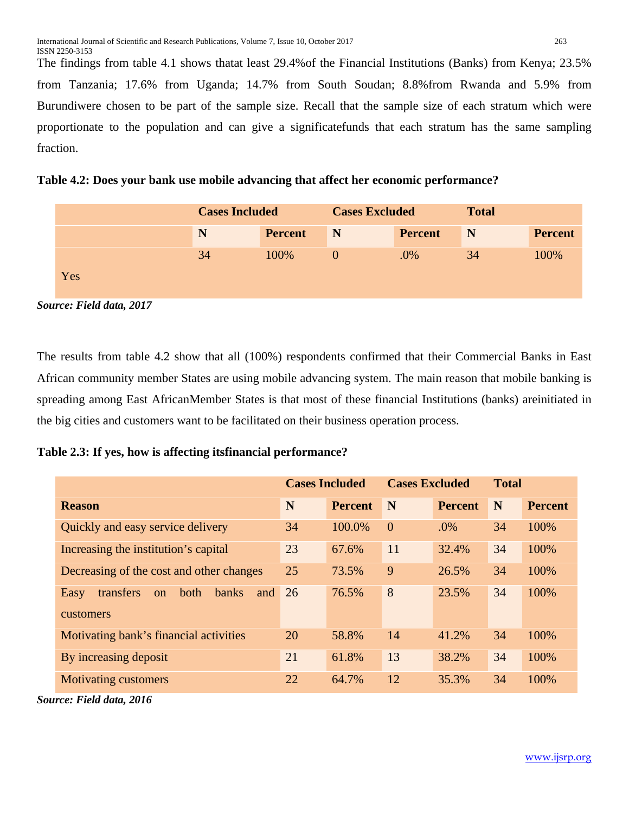The findings from table 4.1 shows thatat least 29.4%of the Financial Institutions (Banks) from Kenya; 23.5% from Tanzania; 17.6% from Uganda; 14.7% from South Soudan; 8.8%from Rwanda and 5.9% from Burundiwere chosen to be part of the sample size. Recall that the sample size of each stratum which were proportionate to the population and can give a significatefunds that each stratum has the same sampling fraction.

**Table 4.2: Does your bank use mobile advancing that affect her economic performance?**

|     | <b>Cases Included</b> |                | <b>Cases Excluded</b> |                | <b>Total</b> |                |  |
|-----|-----------------------|----------------|-----------------------|----------------|--------------|----------------|--|
|     | N                     | <b>Percent</b> | N                     | <b>Percent</b> | N            | <b>Percent</b> |  |
|     | 34                    | 100%           |                       | .0%            | 34           | 100%           |  |
| Yes |                       |                |                       |                |              |                |  |

*Source: Field data, 2017*

The results from table 4.2 show that all (100%) respondents confirmed that their Commercial Banks in East African community member States are using mobile advancing system. The main reason that mobile banking is spreading among East AfricanMember States is that most of these financial Institutions (banks) areinitiated in the big cities and customers want to be facilitated on their business operation process.

**Table 2.3: If yes, how is affecting itsfinancial performance?**

|                                                        |    | <b>Cases Included</b> | <b>Cases Excluded</b> |                | <b>Total</b> |                |
|--------------------------------------------------------|----|-----------------------|-----------------------|----------------|--------------|----------------|
| <b>Reason</b>                                          | N  | <b>Percent</b>        | N                     | <b>Percent</b> | N            | <b>Percent</b> |
| Quickly and easy service delivery                      | 34 | 100.0%                | $\overline{0}$        | .0%            | 34           | 100%           |
| Increasing the institution's capital                   | 23 | 67.6%                 | 11                    | 32.4%          | 34           | 100%           |
| Decreasing of the cost and other changes               | 25 | 73.5%                 | 9                     | 26.5%          | 34           | 100%           |
| transfers<br>both<br><b>banks</b><br>Easy<br>and<br>on | 26 | 76.5%                 | 8                     | 23.5%          | 34           | 100%           |
| customers                                              |    |                       |                       |                |              |                |
| Motivating bank's financial activities                 | 20 | 58.8%                 | 14                    | 41.2%          | 34           | 100%           |
| By increasing deposit                                  | 21 | 61.8%                 | 13                    | 38.2%          | 34           | 100%           |
| <b>Motivating customers</b>                            | 22 | 64.7%                 | 12                    | 35.3%          | 34           | 100%           |

*Source: Field data, 2016*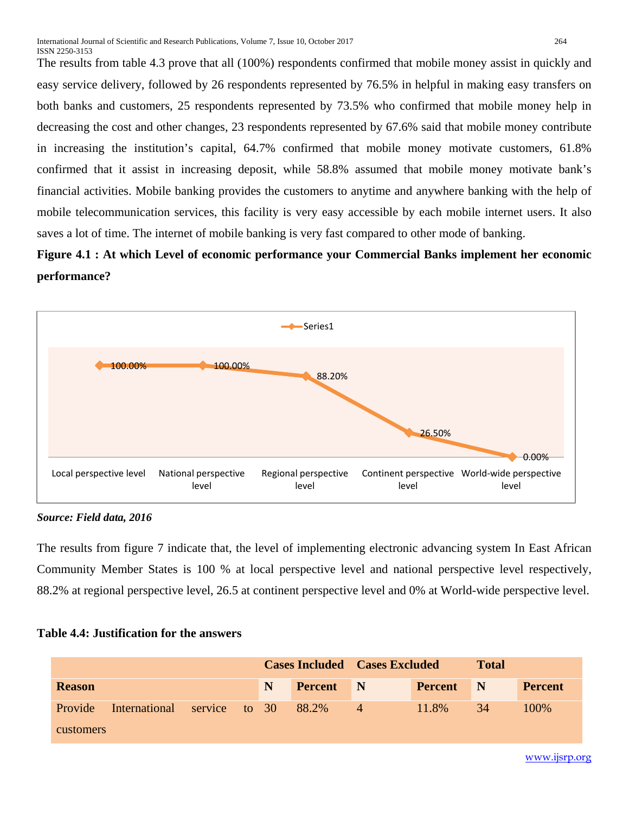The results from table 4.3 prove that all (100%) respondents confirmed that mobile money assist in quickly and easy service delivery, followed by 26 respondents represented by 76.5% in helpful in making easy transfers on both banks and customers, 25 respondents represented by 73.5% who confirmed that mobile money help in decreasing the cost and other changes, 23 respondents represented by 67.6% said that mobile money contribute in increasing the institution's capital, 64.7% confirmed that mobile money motivate customers, 61.8% confirmed that it assist in increasing deposit, while 58.8% assumed that mobile money motivate bank's financial activities. Mobile banking provides the customers to anytime and anywhere banking with the help of mobile telecommunication services, this facility is very easy accessible by each mobile internet users. It also saves a lot of time. The internet of mobile banking is very fast compared to other mode of banking.

# **Figure 4.1 : At which Level of economic performance your Commercial Banks implement her economic performance?**



*Source: Field data, 2016*

The results from figure 7 indicate that, the level of implementing electronic advancing system In East African Community Member States is 100 % at local perspective level and national perspective level respectively, 88.2% at regional perspective level, 26.5 at continent perspective level and 0% at World-wide perspective level.

#### **Table 4.4: Justification for the answers**

|                  |                             |  |  | <b>Cases Included Cases Excluded</b> |                  |                |                | <b>Total</b> |                |
|------------------|-----------------------------|--|--|--------------------------------------|------------------|----------------|----------------|--------------|----------------|
| <b>Reason</b>    |                             |  |  | N                                    | <b>Percent</b> N |                | <b>Percent</b> | N            | <b>Percent</b> |
| <b>Provide</b>   | International service to 30 |  |  |                                      | 88.2%            | $\overline{4}$ | 11.8%          | 34           | 100%           |
| <b>customers</b> |                             |  |  |                                      |                  |                |                |              |                |

[www.ijsrp.org](http://ijsrp.org/)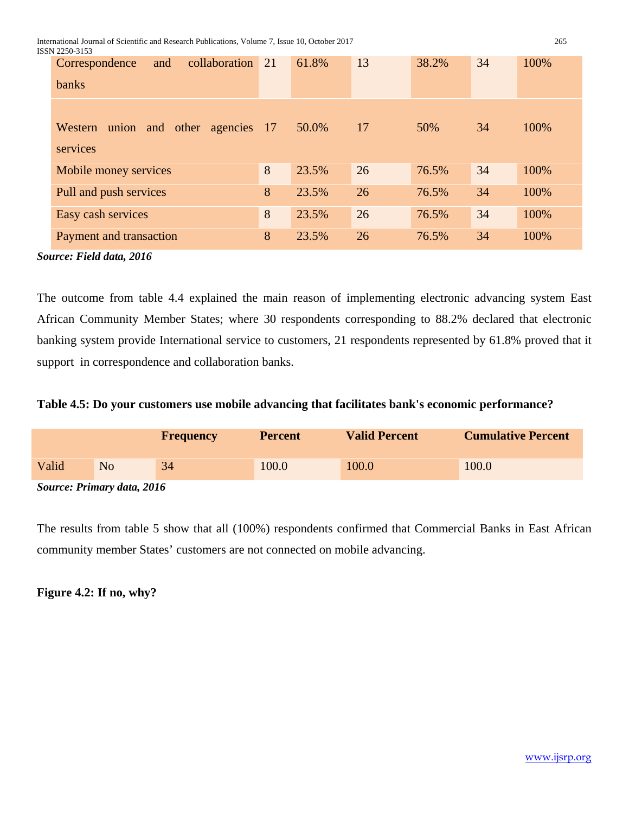International Journal of Scientific and Research Publications, Volume 7, Issue 10, October 2017 265<br>ISSN 2250-3153

| ISSN 2250-3153                                         |    |       |    |       |    |      |
|--------------------------------------------------------|----|-------|----|-------|----|------|
| collaboration<br>Correspondence<br>and<br><b>banks</b> | 21 | 61.8% | 13 | 38.2% | 34 | 100% |
|                                                        |    |       |    |       |    |      |
| Western union and other agencies 17<br>services        |    | 50.0% | 17 | 50%   | 34 | 100% |
| Mobile money services                                  | 8  | 23.5% | 26 | 76.5% | 34 | 100% |
| Pull and push services                                 | 8  | 23.5% | 26 | 76.5% | 34 | 100% |
| Easy cash services                                     | 8  | 23.5% | 26 | 76.5% | 34 | 100% |
| Payment and transaction                                | 8  | 23.5% | 26 | 76.5% | 34 | 100% |

*Source: Field data, 2016*

The outcome from table 4.4 explained the main reason of implementing electronic advancing system East African Community Member States; where 30 respondents corresponding to 88.2% declared that electronic banking system provide International service to customers, 21 respondents represented by 61.8% proved that it support in correspondence and collaboration banks.

# **Table 4.5: Do your customers use mobile advancing that facilitates bank's economic performance?**

|       |                              | <b>Frequency</b> | <b>Percent</b> | <b>Valid Percent</b> | <b>Cumulative Percent</b> |
|-------|------------------------------|------------------|----------------|----------------------|---------------------------|
| Valid | No                           | 34               | 100.0          | 100.0                | 100.0                     |
|       | $\alpha$ n $\alpha$ $\alpha$ |                  |                |                      |                           |

*Source: Primary data, 2016*

The results from table 5 show that all (100%) respondents confirmed that Commercial Banks in East African community member States' customers are not connected on mobile advancing.

**Figure 4.2: If no, why?**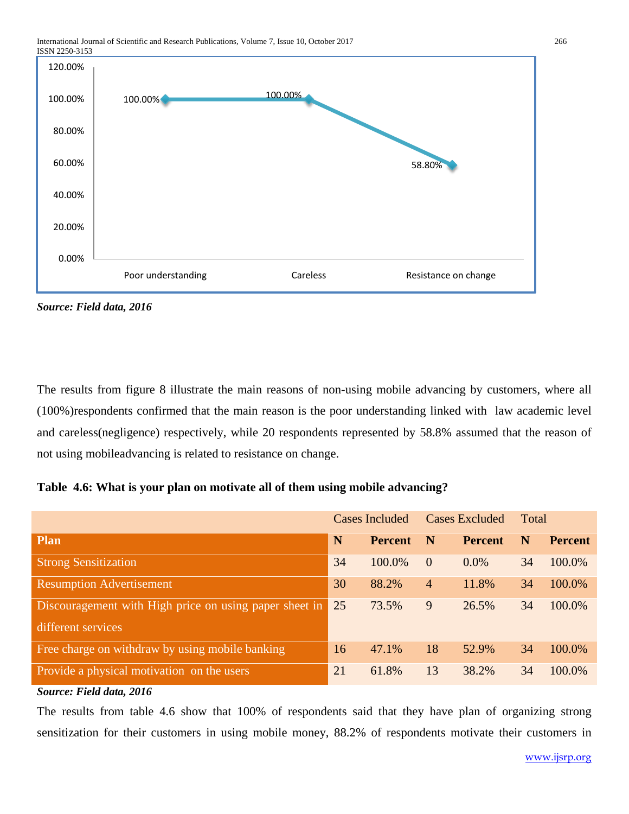

*Source: Field data, 2016*

The results from figure 8 illustrate the main reasons of non-using mobile advancing by customers, where all (100%)respondents confirmed that the main reason is the poor understanding linked with law academic level and careless(negligence) respectively, while 20 respondents represented by 58.8% assumed that the reason of not using mobileadvancing is related to resistance on change.

|  |  |  |  |  | Table 4.6: What is your plan on motivate all of them using mobile advancing? |  |  |  |  |  |  |
|--|--|--|--|--|------------------------------------------------------------------------------|--|--|--|--|--|--|
|--|--|--|--|--|------------------------------------------------------------------------------|--|--|--|--|--|--|

|                                                        | <b>Cases Included</b> |                | <b>Cases Excluded</b> |                | Total |                |
|--------------------------------------------------------|-----------------------|----------------|-----------------------|----------------|-------|----------------|
| <b>Plan</b>                                            | N                     | <b>Percent</b> | N                     | <b>Percent</b> | N     | <b>Percent</b> |
| <b>Strong Sensitization</b>                            | 34                    | 100.0%         | $\overline{0}$        | $0.0\%$        | 34    | 100.0%         |
| <b>Resumption Advertisement</b>                        | 30                    | 88.2%          | $\overline{4}$        | 11.8%          | 34    | 100.0%         |
| Discouragement with High price on using paper sheet in | 25                    | 73.5%          | 9                     | 26.5%          | 34    | 100.0%         |
| different services                                     |                       |                |                       |                |       |                |
| Free charge on withdraw by using mobile banking        | 16                    | 47.1%          | 18                    | 52.9%          | 34    | 100.0%         |
| Provide a physical motivation on the users             | 21                    | 61.8%          | 13                    | 38.2%          | 34    | 100.0%         |
| Source: Field data, 2016                               |                       |                |                       |                |       |                |

The results from table 4.6 show that 100% of respondents said that they have plan of organizing strong sensitization for their customers in using mobile money, 88.2% of respondents motivate their customers in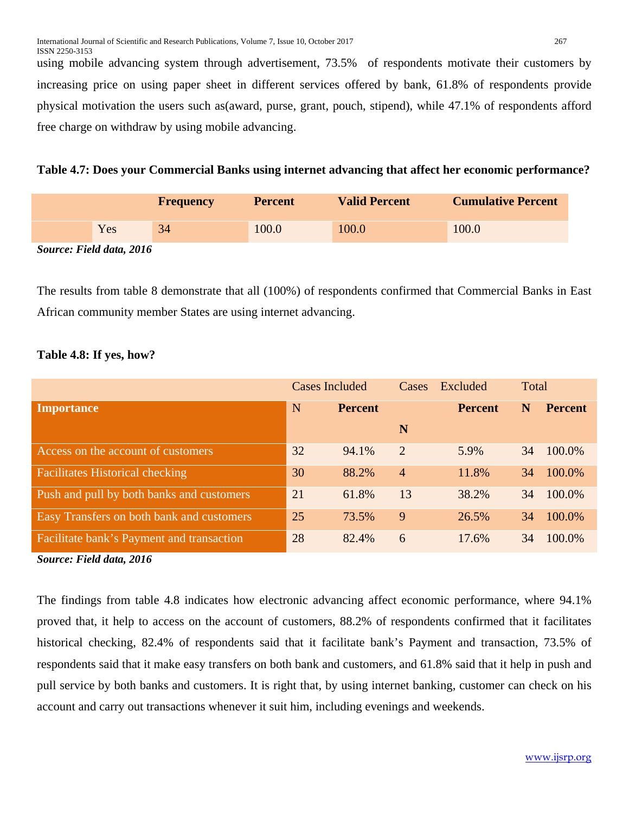using mobile advancing system through advertisement, 73.5% of respondents motivate their customers by increasing price on using paper sheet in different services offered by bank, 61.8% of respondents provide physical motivation the users such as(award, purse, grant, pouch, stipend), while 47.1% of respondents afford free charge on withdraw by using mobile advancing.

**Table 4.7: Does your Commercial Banks using internet advancing that affect her economic performance?**

|        |     | <b>Frequency</b> | <b>Percent</b> | <b>Valid Percent</b> | <b>Cumulative Percent</b> |
|--------|-----|------------------|----------------|----------------------|---------------------------|
|        | Yes | 34               | 100.0          | 100.0                | 100.0                     |
| $\sim$ |     |                  |                |                      |                           |

*Source: Field data, 2016*

The results from table 8 demonstrate that all (100%) of respondents confirmed that Commercial Banks in East African community member States are using internet advancing.

### **Table 4.8: If yes, how?**

|                                           | <b>Cases Included</b> |                | Cases          | Excluded       | Total |                |
|-------------------------------------------|-----------------------|----------------|----------------|----------------|-------|----------------|
| <b>Importance</b>                         | N                     | <b>Percent</b> |                | <b>Percent</b> | N     | <b>Percent</b> |
|                                           |                       |                | N              |                |       |                |
| Access on the account of customers        | 32                    | 94.1%          | 2              | 5.9%           | 34    | 100.0%         |
| <b>Facilitates Historical checking</b>    | 30                    | 88.2%          | $\overline{4}$ | 11.8%          | 34    | 100.0%         |
| Push and pull by both banks and customers | 21                    | 61.8%          | 13             | 38.2%          | 34    | 100.0%         |
| Easy Transfers on both bank and customers | 25                    | 73.5%          | 9              | 26.5%          | 34    | 100.0%         |
| Facilitate bank's Payment and transaction | 28                    | 82.4%          | 6              | 17.6%          | 34    | 100.0%         |

#### *Source: Field data, 2016*

The findings from table 4.8 indicates how electronic advancing affect economic performance, where 94.1% proved that, it help to access on the account of customers, 88.2% of respondents confirmed that it facilitates historical checking, 82.4% of respondents said that it facilitate bank's Payment and transaction, 73.5% of respondents said that it make easy transfers on both bank and customers, and 61.8% said that it help in push and pull service by both banks and customers. It is right that, by using internet banking, customer can check on his account and carry out transactions whenever it suit him, including evenings and weekends.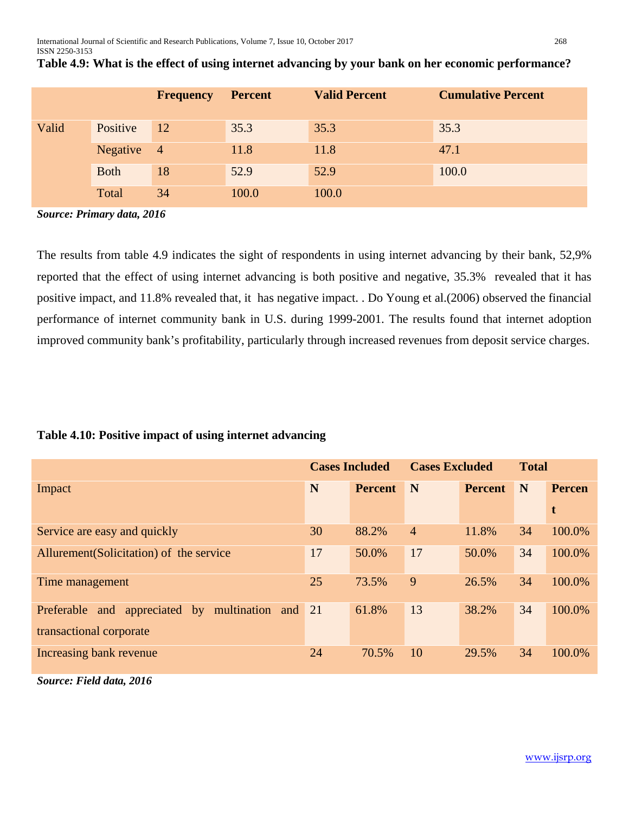|       |             | <b>Frequency</b> | <b>Percent</b> | <b>Valid Percent</b> | <b>Cumulative Percent</b> |
|-------|-------------|------------------|----------------|----------------------|---------------------------|
| Valid | Positive    | <sup>12</sup>    | 35.3           | 35.3                 | 35.3                      |
|       | Negative    | $\overline{4}$   | 11.8           | 11.8                 | 47.1                      |
|       | <b>Both</b> | 18               | 52.9           | 52.9                 | 100.0                     |
|       | Total       | 34               | 100.0          | 100.0                |                           |

| Table 4.9: What is the effect of using internet advancing by your bank on her economic performance? |  |  |
|-----------------------------------------------------------------------------------------------------|--|--|
|                                                                                                     |  |  |
|                                                                                                     |  |  |

*Source: Primary data, 2016*

The results from table 4.9 indicates the sight of respondents in using internet advancing by their bank, 52,9% reported that the effect of using internet advancing is both positive and negative, 35.3% revealed that it has positive impact, and 11.8% revealed that, it has negative impact. . Do Young et al.(2006) observed the financial performance of internet community bank in U.S. during 1999-2001. The results found that internet adoption improved community bank's profitability, particularly through increased revenues from deposit service charges.

### **Table 4.10: Positive impact of using internet advancing**

|                                                     | <b>Cases Included</b> |                | <b>Cases Excluded</b> |                | <b>Total</b> |               |
|-----------------------------------------------------|-----------------------|----------------|-----------------------|----------------|--------------|---------------|
| Impact                                              | N                     | <b>Percent</b> | N                     | <b>Percent</b> | N            | <b>Percen</b> |
|                                                     |                       |                |                       |                |              | t             |
| Service are easy and quickly                        | 30                    | 88.2%          | $\overline{4}$        | 11.8%          | 34           | 100.0%        |
| Allurement (Solicitation) of the service            | 17                    | 50.0%          | 17                    | 50.0%          | 34           | 100.0%        |
| Time management                                     | 25                    | 73.5%          | 9                     | 26.5%          | 34           | 100.0%        |
| and appreciated by multination and 21<br>Preferable |                       | 61.8%          | 13                    | 38.2%          | 34           | 100.0%        |
| transactional corporate                             |                       |                |                       |                |              |               |
| Increasing bank revenue                             | 24                    | 70.5%          | 10                    | 29.5%          | 34           | 100.0%        |

*Source: Field data, 2016*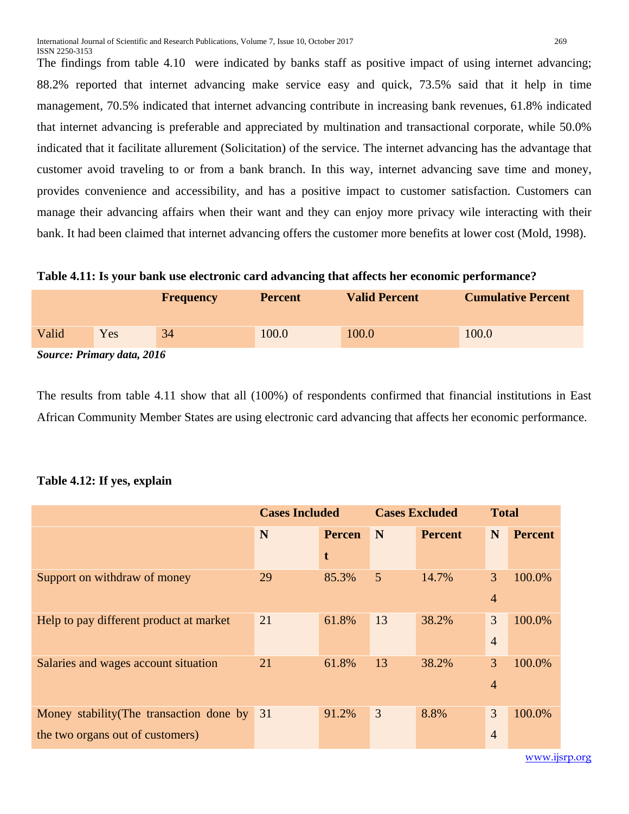The findings from table 4.10 were indicated by banks staff as positive impact of using internet advancing; 88.2% reported that internet advancing make service easy and quick, 73.5% said that it help in time management, 70.5% indicated that internet advancing contribute in increasing bank revenues, 61.8% indicated that internet advancing is preferable and appreciated by multination and transactional corporate, while 50.0% indicated that it facilitate allurement (Solicitation) of the service. The internet advancing has the advantage that customer avoid traveling to or from a bank branch. In this way, internet advancing save time and money, provides convenience and accessibility, and has a positive impact to customer satisfaction. Customers can manage their advancing affairs when their want and they can enjoy more privacy wile interacting with their bank. It had been claimed that internet advancing offers the customer more benefits at lower cost (Mold, 1998).

#### **Table 4.11: Is your bank use electronic card advancing that affects her economic performance?**

|                                   |     | <b>Frequency</b> | <b>Percent</b> | <b>Valid Percent</b> | <b>Cumulative Percent</b> |  |  |  |
|-----------------------------------|-----|------------------|----------------|----------------------|---------------------------|--|--|--|
| Valid                             | Yes | 34               | 100.0          | 100.0                | 100.0                     |  |  |  |
| <b>Source: Primary data, 2016</b> |     |                  |                |                      |                           |  |  |  |

The results from table 4.11 show that all (100%) of respondents confirmed that financial institutions in East African Community Member States are using electronic card advancing that affects her economic performance.

### **Table 4.12: If yes, explain**

|                                             | <b>Cases Included</b> |       | <b>Cases Excluded</b> |                | <b>Total</b>   |                |
|---------------------------------------------|-----------------------|-------|-----------------------|----------------|----------------|----------------|
|                                             | N<br><b>Percen</b>    |       | N                     | <b>Percent</b> | N              | <b>Percent</b> |
|                                             |                       | t     |                       |                |                |                |
| Support on withdraw of money                | 29                    | 85.3% | 5                     | 14.7%          | 3              | 100.0%         |
|                                             |                       |       |                       |                | $\overline{4}$ |                |
| Help to pay different product at market     | 21                    | 61.8% | 13                    | 38.2%          | 3              | 100.0%         |
|                                             |                       |       |                       |                | $\overline{4}$ |                |
| Salaries and wages account situation        | 21                    | 61.8% | 13                    | 38.2%          | 3              | 100.0%         |
|                                             |                       |       |                       |                | $\overline{4}$ |                |
| Money stability (The transaction done by 31 |                       | 91.2% | 3                     | 8.8%           | 3              | 100.0%         |
| the two organs out of customers)            |                       |       |                       |                | $\overline{4}$ |                |
|                                             |                       |       |                       |                |                |                |

[www.ijsrp.org](http://ijsrp.org/)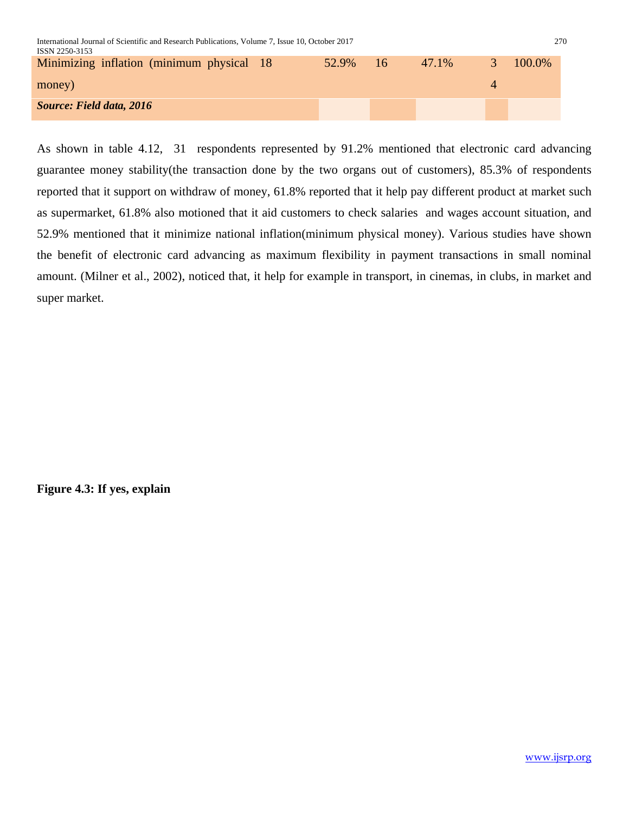| International Journal of Scientific and Research Publications, Volume 7, Issue 10, October 2017<br>270<br>ISSN 2250-3153 |  |          |  |       |               |        |  |  |
|--------------------------------------------------------------------------------------------------------------------------|--|----------|--|-------|---------------|--------|--|--|
| Minimizing inflation (minimum physical 18)                                                                               |  | 52.9% 16 |  | 47.1% | $\mathcal{R}$ | 100.0% |  |  |
| money)                                                                                                                   |  |          |  |       |               |        |  |  |
| <b>Source: Field data, 2016</b>                                                                                          |  |          |  |       |               |        |  |  |

As shown in table 4.12, 31 respondents represented by 91.2% mentioned that electronic card advancing guarantee money stability(the transaction done by the two organs out of customers), 85.3% of respondents reported that it support on withdraw of money, 61.8% reported that it help pay different product at market such as supermarket, 61.8% also motioned that it aid customers to check salaries and wages account situation, and 52.9% mentioned that it minimize national inflation(minimum physical money). Various studies have shown the benefit of electronic card advancing as maximum flexibility in payment transactions in small nominal amount. (Milner et al., 2002), noticed that, it help for example in transport, in cinemas, in clubs, in market and super market.

**Figure 4.3: If yes, explain**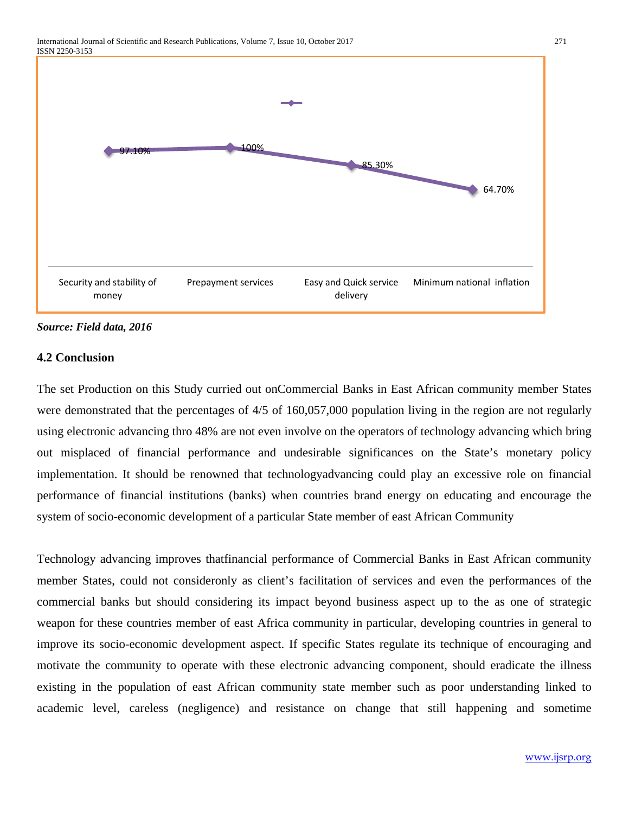

#### *Source: Field data, 2016*

### **4.2 Conclusion**

The set Production on this Study curried out onCommercial Banks in East African community member States were demonstrated that the percentages of 4/5 of 160,057,000 population living in the region are not regularly using electronic advancing thro 48% are not even involve on the operators of technology advancing which bring out misplaced of financial performance and undesirable significances on the State's monetary policy implementation. It should be renowned that technologyadvancing could play an excessive role on financial performance of financial institutions (banks) when countries brand energy on educating and encourage the system of socio-economic development of a particular State member of east African Community

Technology advancing improves thatfinancial performance of Commercial Banks in East African community member States, could not consideronly as client's facilitation of services and even the performances of the commercial banks but should considering its impact beyond business aspect up to the as one of strategic weapon for these countries member of east Africa community in particular, developing countries in general to improve its socio-economic development aspect. If specific States regulate its technique of encouraging and motivate the community to operate with these electronic advancing component, should eradicate the illness existing in the population of east African community state member such as poor understanding linked to academic level, careless (negligence) and resistance on change that still happening and sometime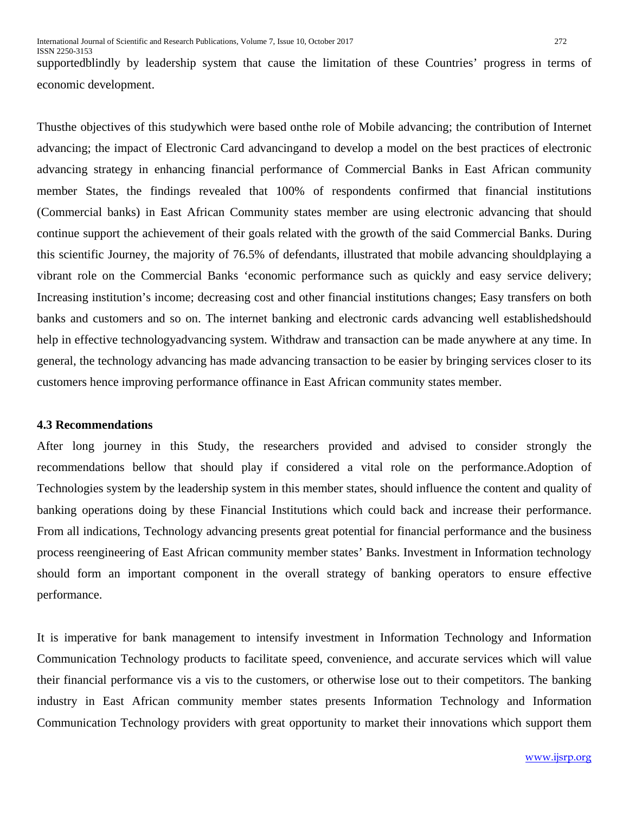supportedblindly by leadership system that cause the limitation of these Countries' progress in terms of economic development.

Thusthe objectives of this studywhich were based onthe role of Mobile advancing; the contribution of Internet advancing; the impact of Electronic Card advancingand to develop a model on the best practices of electronic advancing strategy in enhancing financial performance of Commercial Banks in East African community member States, the findings revealed that 100% of respondents confirmed that financial institutions (Commercial banks) in East African Community states member are using electronic advancing that should continue support the achievement of their goals related with the growth of the said Commercial Banks. During this scientific Journey, the majority of 76.5% of defendants, illustrated that mobile advancing shouldplaying a vibrant role on the Commercial Banks 'economic performance such as quickly and easy service delivery; Increasing institution's income; decreasing cost and other financial institutions changes; Easy transfers on both banks and customers and so on. The internet banking and electronic cards advancing well establishedshould help in effective technologyadvancing system. Withdraw and transaction can be made anywhere at any time. In general, the technology advancing has made advancing transaction to be easier by bringing services closer to its customers hence improving performance offinance in East African community states member.

#### **4.3 Recommendations**

After long journey in this Study, the researchers provided and advised to consider strongly the recommendations bellow that should play if considered a vital role on the performance.Adoption of Technologies system by the leadership system in this member states, should influence the content and quality of banking operations doing by these Financial Institutions which could back and increase their performance. From all indications, Technology advancing presents great potential for financial performance and the business process reengineering of East African community member states' Banks. Investment in Information technology should form an important component in the overall strategy of banking operators to ensure effective performance.

It is imperative for bank management to intensify investment in Information Technology and Information Communication Technology products to facilitate speed, convenience, and accurate services which will value their financial performance vis a vis to the customers, or otherwise lose out to their competitors. The banking industry in East African community member states presents Information Technology and Information Communication Technology providers with great opportunity to market their innovations which support them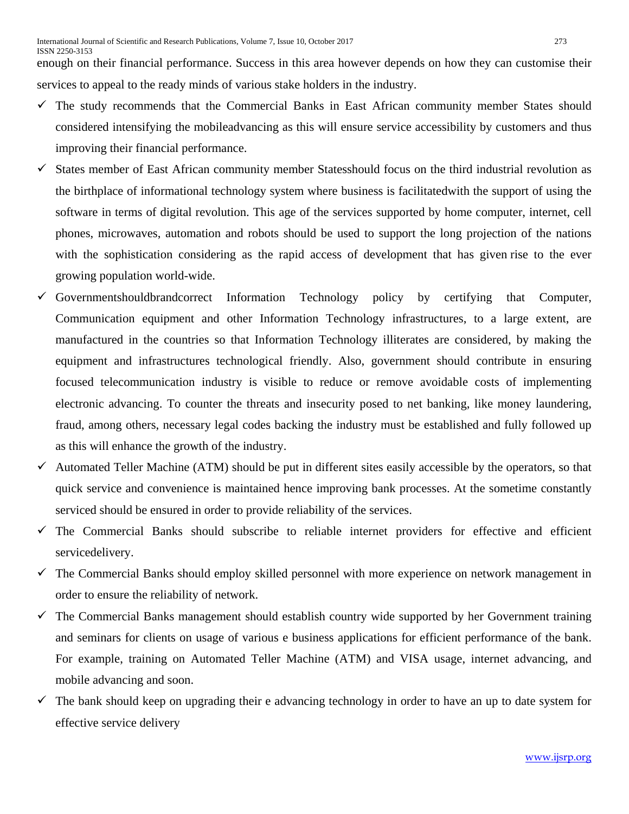enough on their financial performance. Success in this area however depends on how they can customise their services to appeal to the ready minds of various stake holders in the industry.

- $\checkmark$  The study recommends that the Commercial Banks in East African community member States should considered intensifying the mobileadvancing as this will ensure service accessibility by customers and thus improving their financial performance.
- $\checkmark$  States member of East African community member Statesshould focus on the third industrial revolution as the birthplace of informational technology system where business is facilitatedwith the support of using the software in terms of digital revolution. This age of the services supported by home computer, internet, cell phones, microwaves, automation and robots should be used to support the long projection of the nations with the sophistication considering as the rapid access of development that has given rise to the ever growing population world-wide.
- $\checkmark$  Governmentshouldbrandcorrect Information Technology policy by certifying that Computer, Communication equipment and other Information Technology infrastructures, to a large extent, are manufactured in the countries so that Information Technology illiterates are considered, by making the equipment and infrastructures technological friendly. Also, government should contribute in ensuring focused telecommunication industry is visible to reduce or remove avoidable costs of implementing electronic advancing. To counter the threats and insecurity posed to net banking, like money laundering, fraud, among others, necessary legal codes backing the industry must be established and fully followed up as this will enhance the growth of the industry.
- $\checkmark$  Automated Teller Machine (ATM) should be put in different sites easily accessible by the operators, so that quick service and convenience is maintained hence improving bank processes. At the sometime constantly serviced should be ensured in order to provide reliability of the services.
- $\checkmark$  The Commercial Banks should subscribe to reliable internet providers for effective and efficient servicedelivery.
- $\checkmark$  The Commercial Banks should employ skilled personnel with more experience on network management in order to ensure the reliability of network.
- $\checkmark$  The Commercial Banks management should establish country wide supported by her Government training and seminars for clients on usage of various e business applications for efficient performance of the bank. For example, training on Automated Teller Machine (ATM) and VISA usage, internet advancing, and mobile advancing and soon.
- $\checkmark$  The bank should keep on upgrading their e advancing technology in order to have an up to date system for effective service delivery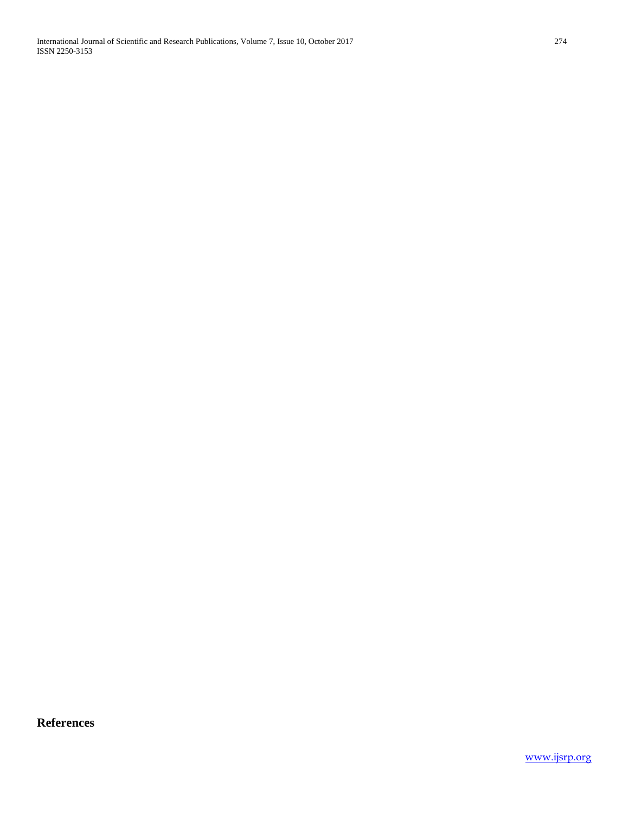International Journal of Scientific and Research Publications, Volume 7, Issue 10, October 2017 274 ISSN 2250-3153

**References**

[www.ijsrp.org](http://ijsrp.org/)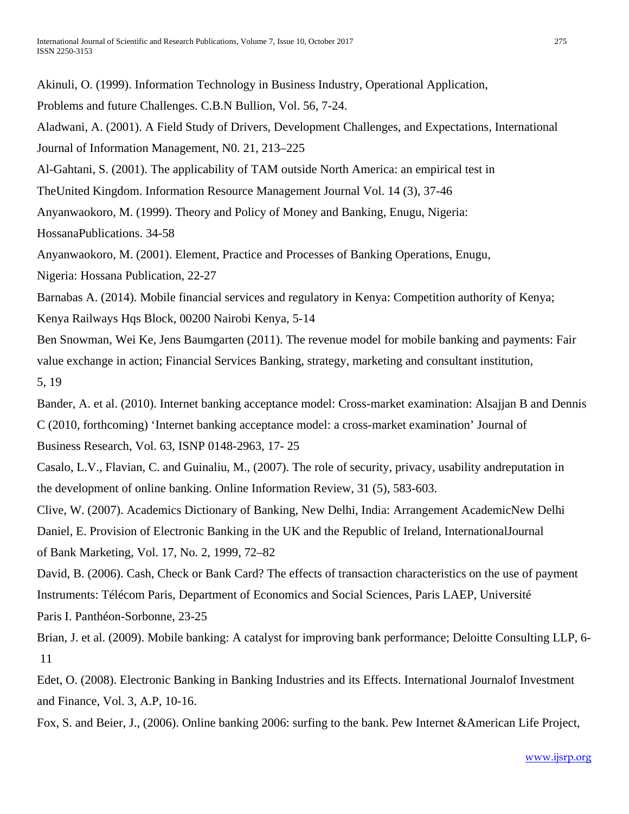Akinuli, O. (1999). Information Technology in Business Industry, Operational Application, Problems and future Challenges. C.B.N Bullion, Vol. 56, 7-24. Aladwani, A. (2001). A Field Study of Drivers, Development Challenges, and Expectations, International Journal of Information Management, N0. 21, 213–225 Al-Gahtani, S. (2001). The applicability of TAM outside North America: an empirical test in TheUnited Kingdom. Information Resource Management Journal Vol. 14 (3), 37-46 Anyanwaokoro, M. (1999). Theory and Policy of Money and Banking, Enugu, Nigeria: HossanaPublications. 34-58 Anyanwaokoro, M. (2001). Element, Practice and Processes of Banking Operations, Enugu, Nigeria: Hossana Publication, 22-27 Barnabas A. (2014). Mobile financial services and regulatory in Kenya: Competition authority of Kenya; Kenya Railways Hqs Block, 00200 Nairobi Kenya, 5-14 Ben Snowman, Wei Ke, Jens Baumgarten (2011). The revenue model for mobile banking and payments: Fair value exchange in action; Financial Services Banking, strategy, marketing and consultant institution, 5, 19 Bander, A. et al. (2010). Internet banking acceptance model: Cross-market examination: Alsajjan B and Dennis C (2010, forthcoming) 'Internet banking acceptance model: a cross-market examination' Journal of Business Research, Vol. 63, ISNP 0148-2963, 17- 25 Casalo, L.V., Flavian, C. and Guinaliu, M., (2007). The role of security, privacy, usability andreputation in the development of online banking. Online Information Review, 31 (5), 583-603. Clive, W. (2007). Academics Dictionary of Banking, New Delhi, India: Arrangement AcademicNew Delhi Daniel, E. Provision of Electronic Banking in the UK and the Republic of Ireland, InternationalJournal of Bank Marketing, Vol. 17, No. 2, 1999, 72–82 David, B. (2006). Cash, Check or Bank Card? The effects of transaction characteristics on the use of payment Instruments: Télécom Paris, Department of Economics and Social Sciences, Paris LAEP, Université Paris I. Panthéon-Sorbonne, 23-25 Brian, J. et al. (2009). Mobile banking: A catalyst for improving bank performance; Deloitte Consulting LLP, 6- 11

Edet, O. (2008). Electronic Banking in Banking Industries and its Effects. International Journalof Investment and Finance, Vol. 3, A.P, 10-16.

Fox, S. and Beier, J., (2006). Online banking 2006: surfing to the bank. Pew Internet &American Life Project,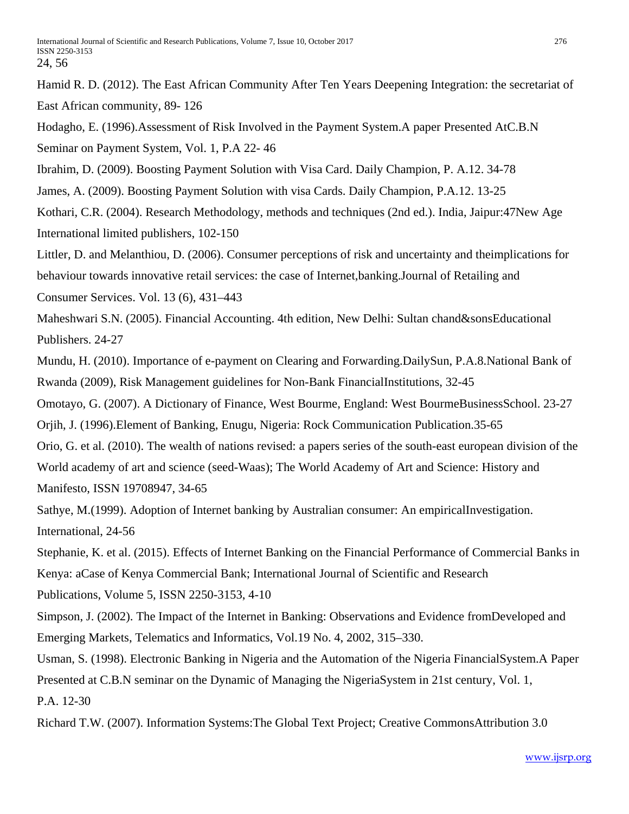Hamid R. D. (2012). The East African Community After Ten Years Deepening Integration: the secretariat of East African community, 89- 126

Hodagho, E. (1996).Assessment of Risk Involved in the Payment System.A paper Presented AtC.B.N Seminar on Payment System, Vol. 1, P.A 22- 46

Ibrahim, D. (2009). Boosting Payment Solution with Visa Card. Daily Champion, P. A.12. 34-78

James, A. (2009). Boosting Payment Solution with visa Cards. Daily Champion, P.A.12. 13-25

Kothari, C.R. (2004). Research Methodology, methods and techniques (2nd ed.). India, Jaipur:47New Age International limited publishers, 102-150

Littler, D. and Melanthiou, D. (2006). Consumer perceptions of risk and uncertainty and theimplications for behaviour towards innovative retail services: the case of Internet,banking.Journal of Retailing and Consumer Services. Vol. 13 (6), 431–443

Maheshwari S.N. (2005). Financial Accounting. 4th edition, New Delhi: Sultan chand&sonsEducational Publishers. 24-27

Mundu, H. (2010). Importance of e-payment on Clearing and Forwarding.DailySun, P.A.8.National Bank of Rwanda (2009), Risk Management guidelines for Non-Bank FinancialInstitutions, 32-45

Omotayo, G. (2007). A Dictionary of Finance, West Bourme, England: West BourmeBusinessSchool. 23-27

Orjih, J. (1996).Element of Banking, Enugu, Nigeria: Rock Communication Publication.35-65

Orio, G. et al. (2010). The wealth of nations revised: a papers series of the south-east european division of the World academy of art and science (seed-Waas); The World Academy of Art and Science: History and Manifesto, ISSN 19708947, 34-65

Sathye, M.(1999). Adoption of Internet banking by Australian consumer: An empiricalInvestigation. International, 24-56

Stephanie, K. et al. (2015). Effects of Internet Banking on the Financial Performance of Commercial Banks in Kenya: aCase of Kenya Commercial Bank; International Journal of Scientific and Research

Publications, Volume 5, ISSN 2250-3153, 4-10

Simpson, J. (2002). The Impact of the Internet in Banking: Observations and Evidence fromDeveloped and Emerging Markets, Telematics and Informatics, Vol.19 No. 4, 2002, 315–330.

Usman, S. (1998). Electronic Banking in Nigeria and the Automation of the Nigeria FinancialSystem.A Paper Presented at C.B.N seminar on the Dynamic of Managing the NigeriaSystem in 21st century, Vol. 1, P.A. 12-30

Richard T.W. (2007). Information Systems:The Global Text Project; Creative CommonsAttribution 3.0